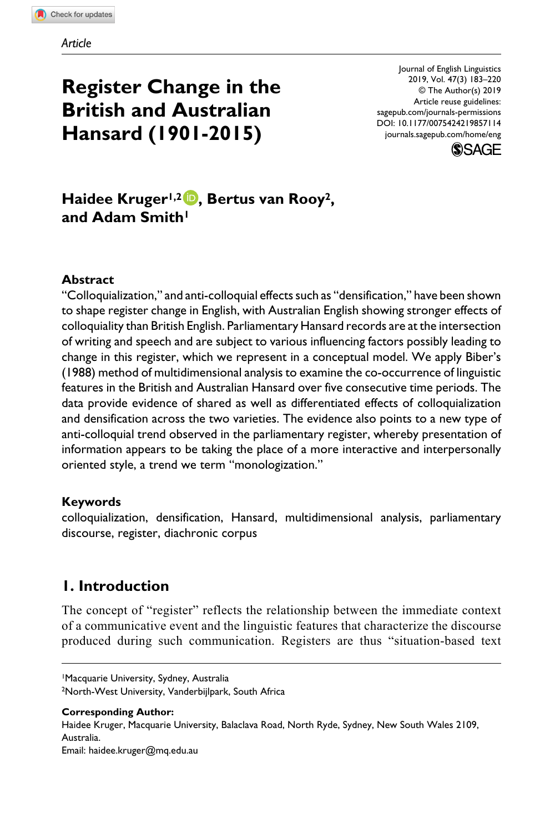# **Register Change in the British and Australian Hansard (1901-2015)**

DOI: 10.1177/0075424219857114 Journal of English Linguistics 2019, Vol. 47(3) 183–220 © The Author(s) 2019 Article reuse guidelines: [sagepub.com/journals-permissions](https://us.sagepub.com/en-us/journals-permissions) [journals.sagepub.com/home/eng](https://journals.sagepub.com/home/eng)



# **Haidee Kruger1,2 , Bertus van Rooy2,**  and Adam Smith<sup>1</sup>

### **Abstract**

"Colloquialization," and anti-colloquial effects such as "densification," have been shown to shape register change in English, with Australian English showing stronger effects of colloquiality than British English. Parliamentary Hansard records are at the intersection of writing and speech and are subject to various influencing factors possibly leading to change in this register, which we represent in a conceptual model. We apply Biber's (1988) method of multidimensional analysis to examine the co-occurrence of linguistic features in the British and Australian Hansard over five consecutive time periods. The data provide evidence of shared as well as differentiated effects of colloquialization and densification across the two varieties. The evidence also points to a new type of anti-colloquial trend observed in the parliamentary register, whereby presentation of information appears to be taking the place of a more interactive and interpersonally oriented style, a trend we term "monologization."

#### **Keywords**

colloquialization, densification, Hansard, multidimensional analysis, parliamentary discourse, register, diachronic corpus

# **1. Introduction**

The concept of "register" reflects the relationship between the immediate context of a communicative event and the linguistic features that characterize the discourse produced during such communication. Registers are thus "situation-based text

**Corresponding Author:** Haidee Kruger, Macquarie University, Balaclava Road, North Ryde, Sydney, New South Wales 2109, Australia. Email: [haidee.kruger@mq.edu.au](mailto:haidee.kruger@mq.edu.au)

<sup>1</sup>Macquarie University, Sydney, Australia 2North-West University, Vanderbijlpark, South Africa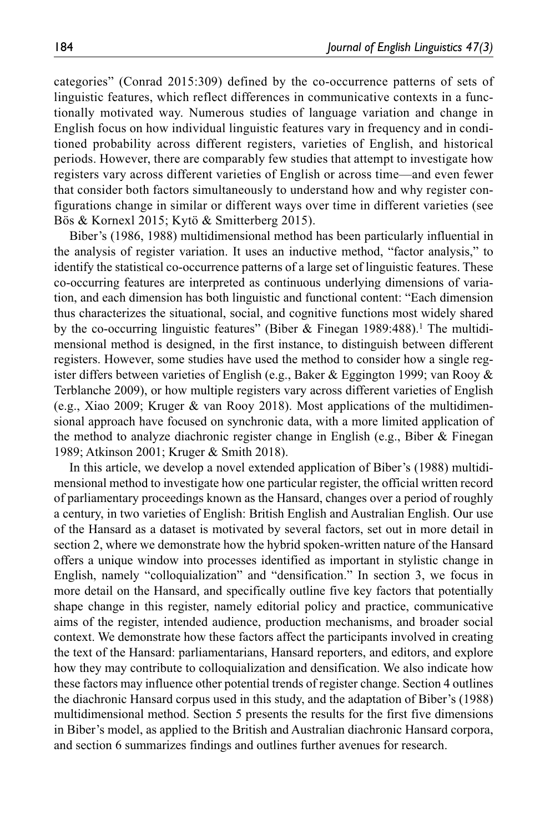categories" (Conrad 2015:309) defined by the co-occurrence patterns of sets of linguistic features, which reflect differences in communicative contexts in a functionally motivated way. Numerous studies of language variation and change in English focus on how individual linguistic features vary in frequency and in conditioned probability across different registers, varieties of English, and historical periods. However, there are comparably few studies that attempt to investigate how registers vary across different varieties of English or across time—and even fewer that consider both factors simultaneously to understand how and why register configurations change in similar or different ways over time in different varieties (see Bös & Kornexl 2015; Kytö & Smitterberg 2015).

Biber's (1986, 1988) multidimensional method has been particularly influential in the analysis of register variation. It uses an inductive method, "factor analysis," to identify the statistical co-occurrence patterns of a large set of linguistic features. These co-occurring features are interpreted as continuous underlying dimensions of variation, and each dimension has both linguistic and functional content: "Each dimension thus characterizes the situational, social, and cognitive functions most widely shared by the co-occurring linguistic features" (Biber & Finegan 1989:488).<sup>1</sup> The multidimensional method is designed, in the first instance, to distinguish between different registers. However, some studies have used the method to consider how a single register differs between varieties of English (e.g., Baker & Eggington 1999; van Rooy & Terblanche 2009), or how multiple registers vary across different varieties of English (e.g., Xiao 2009; Kruger & van Rooy 2018). Most applications of the multidimensional approach have focused on synchronic data, with a more limited application of the method to analyze diachronic register change in English (e.g., Biber & Finegan 1989; Atkinson 2001; Kruger & Smith 2018).

In this article, we develop a novel extended application of Biber's (1988) multidimensional method to investigate how one particular register, the official written record of parliamentary proceedings known as the Hansard, changes over a period of roughly a century, in two varieties of English: British English and Australian English. Our use of the Hansard as a dataset is motivated by several factors, set out in more detail in section 2, where we demonstrate how the hybrid spoken-written nature of the Hansard offers a unique window into processes identified as important in stylistic change in English, namely "colloquialization" and "densification." In section 3, we focus in more detail on the Hansard, and specifically outline five key factors that potentially shape change in this register, namely editorial policy and practice, communicative aims of the register, intended audience, production mechanisms, and broader social context. We demonstrate how these factors affect the participants involved in creating the text of the Hansard: parliamentarians, Hansard reporters, and editors, and explore how they may contribute to colloquialization and densification. We also indicate how these factors may influence other potential trends of register change. Section 4 outlines the diachronic Hansard corpus used in this study, and the adaptation of Biber's (1988) multidimensional method. Section 5 presents the results for the first five dimensions in Biber's model, as applied to the British and Australian diachronic Hansard corpora, and section 6 summarizes findings and outlines further avenues for research.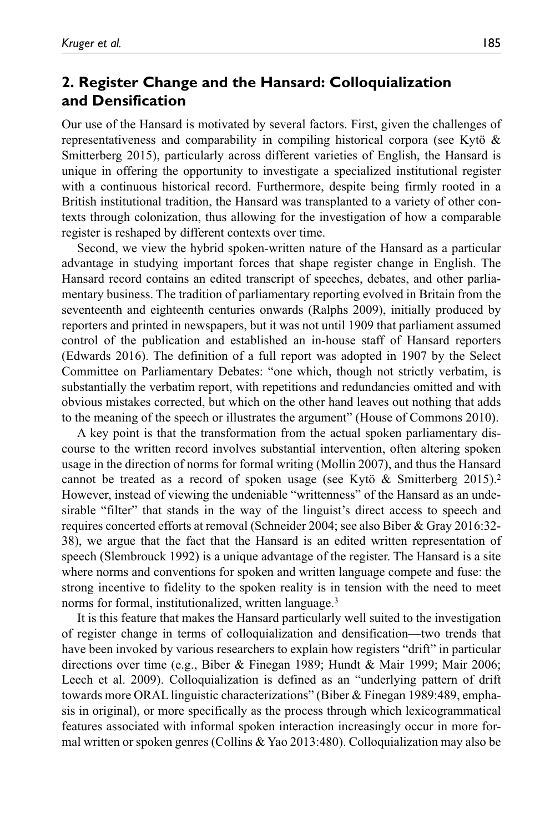# **2. Register Change and the Hansard: Colloquialization and Densification**

Our use of the Hansard is motivated by several factors. First, given the challenges of representativeness and comparability in compiling historical corpora (see Kytö & Smitterberg 2015), particularly across different varieties of English, the Hansard is unique in offering the opportunity to investigate a specialized institutional register with a continuous historical record. Furthermore, despite being firmly rooted in a British institutional tradition, the Hansard was transplanted to a variety of other contexts through colonization, thus allowing for the investigation of how a comparable register is reshaped by different contexts over time.

Second, we view the hybrid spoken-written nature of the Hansard as a particular advantage in studying important forces that shape register change in English. The Hansard record contains an edited transcript of speeches, debates, and other parliamentary business. The tradition of parliamentary reporting evolved in Britain from the seventeenth and eighteenth centuries onwards (Ralphs 2009), initially produced by reporters and printed in newspapers, but it was not until 1909 that parliament assumed control of the publication and established an in-house staff of Hansard reporters (Edwards 2016). The definition of a full report was adopted in 1907 by the Select Committee on Parliamentary Debates: "one which, though not strictly verbatim, is substantially the verbatim report, with repetitions and redundancies omitted and with obvious mistakes corrected, but which on the other hand leaves out nothing that adds to the meaning of the speech or illustrates the argument" (House of Commons 2010).

A key point is that the transformation from the actual spoken parliamentary discourse to the written record involves substantial intervention, often altering spoken usage in the direction of norms for formal writing (Mollin 2007), and thus the Hansard cannot be treated as a record of spoken usage (see Kytö & Smitterberg 2015).2 However, instead of viewing the undeniable "writtenness" of the Hansard as an undesirable "filter" that stands in the way of the linguist's direct access to speech and requires concerted efforts at removal (Schneider 2004; see also Biber & Gray 2016:32- 38), we argue that the fact that the Hansard is an edited written representation of speech (Slembrouck 1992) is a unique advantage of the register. The Hansard is a site where norms and conventions for spoken and written language compete and fuse: the strong incentive to fidelity to the spoken reality is in tension with the need to meet norms for formal, institutionalized, written language.<sup>3</sup>

It is this feature that makes the Hansard particularly well suited to the investigation of register change in terms of colloquialization and densification—two trends that have been invoked by various researchers to explain how registers "drift" in particular directions over time (e.g., Biber & Finegan 1989; Hundt & Mair 1999; Mair 2006; Leech et al. 2009). Colloquialization is defined as an "underlying pattern of drift towards more ORAL linguistic characterizations" (Biber & Finegan 1989:489, emphasis in original), or more specifically as the process through which lexicogrammatical features associated with informal spoken interaction increasingly occur in more formal written or spoken genres (Collins & Yao 2013:480). Colloquialization may also be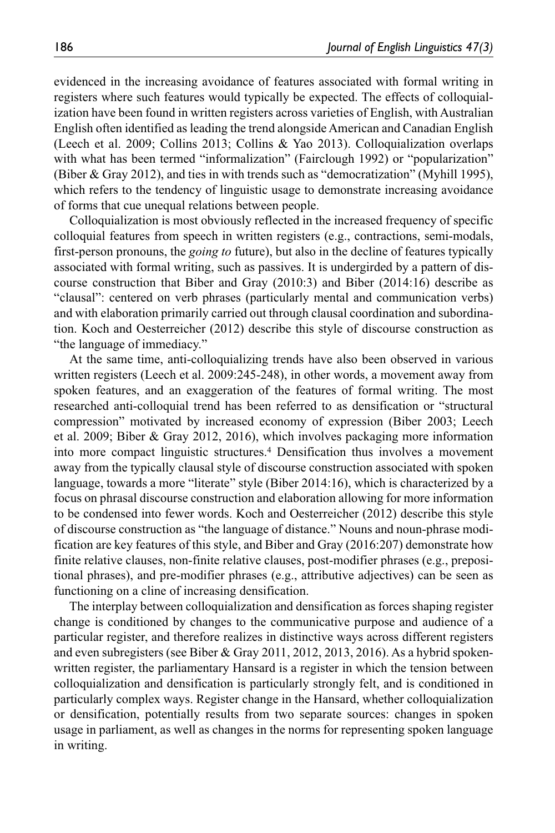evidenced in the increasing avoidance of features associated with formal writing in registers where such features would typically be expected. The effects of colloquialization have been found in written registers across varieties of English, with Australian English often identified as leading the trend alongside American and Canadian English (Leech et al. 2009; Collins 2013; Collins & Yao 2013). Colloquialization overlaps with what has been termed "informalization" (Fairclough 1992) or "popularization" (Biber & Gray 2012), and ties in with trends such as "democratization" (Myhill 1995), which refers to the tendency of linguistic usage to demonstrate increasing avoidance of forms that cue unequal relations between people.

Colloquialization is most obviously reflected in the increased frequency of specific colloquial features from speech in written registers (e.g., contractions, semi-modals, first-person pronouns, the *going to* future), but also in the decline of features typically associated with formal writing, such as passives. It is undergirded by a pattern of discourse construction that Biber and Gray (2010:3) and Biber (2014:16) describe as "clausal": centered on verb phrases (particularly mental and communication verbs) and with elaboration primarily carried out through clausal coordination and subordination. Koch and Oesterreicher (2012) describe this style of discourse construction as "the language of immediacy."

At the same time, anti-colloquializing trends have also been observed in various written registers (Leech et al. 2009:245-248), in other words, a movement away from spoken features, and an exaggeration of the features of formal writing. The most researched anti-colloquial trend has been referred to as densification or "structural compression" motivated by increased economy of expression (Biber 2003; Leech et al. 2009; Biber & Gray 2012, 2016), which involves packaging more information into more compact linguistic structures.4 Densification thus involves a movement away from the typically clausal style of discourse construction associated with spoken language, towards a more "literate" style (Biber 2014:16), which is characterized by a focus on phrasal discourse construction and elaboration allowing for more information to be condensed into fewer words. Koch and Oesterreicher (2012) describe this style of discourse construction as "the language of distance." Nouns and noun-phrase modification are key features of this style, and Biber and Gray (2016:207) demonstrate how finite relative clauses, non-finite relative clauses, post-modifier phrases (e.g., prepositional phrases), and pre-modifier phrases (e.g., attributive adjectives) can be seen as functioning on a cline of increasing densification.

The interplay between colloquialization and densification as forces shaping register change is conditioned by changes to the communicative purpose and audience of a particular register, and therefore realizes in distinctive ways across different registers and even subregisters (see Biber & Gray 2011, 2012, 2013, 2016). As a hybrid spokenwritten register, the parliamentary Hansard is a register in which the tension between colloquialization and densification is particularly strongly felt, and is conditioned in particularly complex ways. Register change in the Hansard, whether colloquialization or densification, potentially results from two separate sources: changes in spoken usage in parliament, as well as changes in the norms for representing spoken language in writing.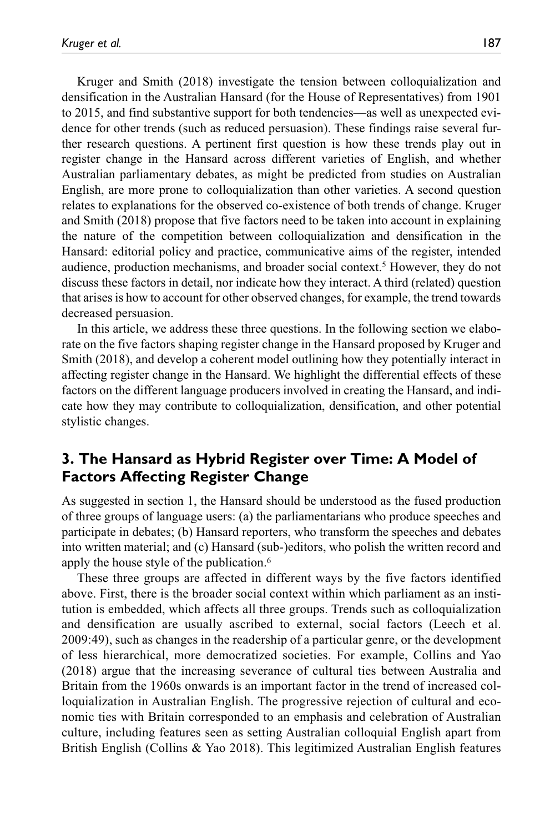Kruger and Smith (2018) investigate the tension between colloquialization and densification in the Australian Hansard (for the House of Representatives) from 1901 to 2015, and find substantive support for both tendencies—as well as unexpected evidence for other trends (such as reduced persuasion). These findings raise several further research questions. A pertinent first question is how these trends play out in register change in the Hansard across different varieties of English, and whether Australian parliamentary debates, as might be predicted from studies on Australian English, are more prone to colloquialization than other varieties. A second question relates to explanations for the observed co-existence of both trends of change. Kruger and Smith (2018) propose that five factors need to be taken into account in explaining the nature of the competition between colloquialization and densification in the Hansard: editorial policy and practice, communicative aims of the register, intended audience, production mechanisms, and broader social context.5 However, they do not discuss these factors in detail, nor indicate how they interact. A third (related) question that arises is how to account for other observed changes, for example, the trend towards decreased persuasion.

In this article, we address these three questions. In the following section we elaborate on the five factors shaping register change in the Hansard proposed by Kruger and Smith (2018), and develop a coherent model outlining how they potentially interact in affecting register change in the Hansard. We highlight the differential effects of these factors on the different language producers involved in creating the Hansard, and indicate how they may contribute to colloquialization, densification, and other potential stylistic changes.

# **3. The Hansard as Hybrid Register over Time: A Model of Factors Affecting Register Change**

As suggested in section 1, the Hansard should be understood as the fused production of three groups of language users: (a) the parliamentarians who produce speeches and participate in debates; (b) Hansard reporters, who transform the speeches and debates into written material; and (c) Hansard (sub-)editors, who polish the written record and apply the house style of the publication.<sup>6</sup>

These three groups are affected in different ways by the five factors identified above. First, there is the broader social context within which parliament as an institution is embedded, which affects all three groups. Trends such as colloquialization and densification are usually ascribed to external, social factors (Leech et al. 2009:49), such as changes in the readership of a particular genre, or the development of less hierarchical, more democratized societies. For example, Collins and Yao (2018) argue that the increasing severance of cultural ties between Australia and Britain from the 1960s onwards is an important factor in the trend of increased colloquialization in Australian English. The progressive rejection of cultural and economic ties with Britain corresponded to an emphasis and celebration of Australian culture, including features seen as setting Australian colloquial English apart from British English (Collins & Yao 2018). This legitimized Australian English features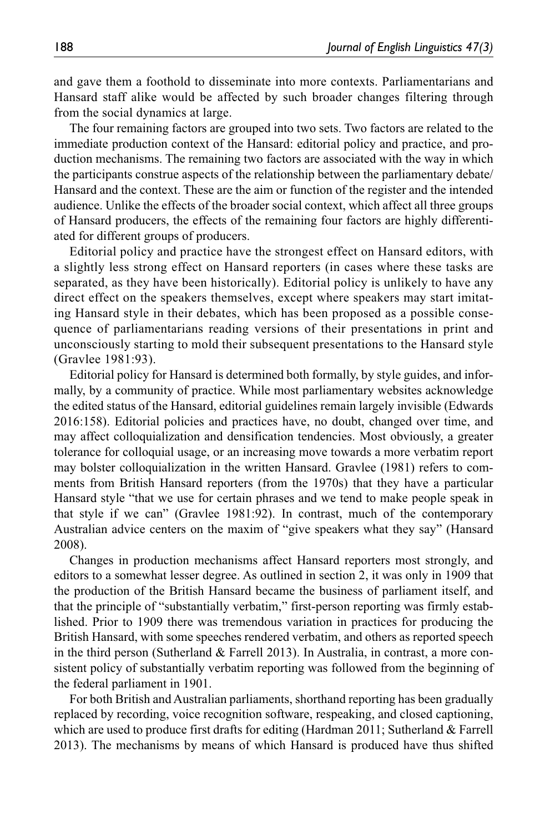and gave them a foothold to disseminate into more contexts. Parliamentarians and Hansard staff alike would be affected by such broader changes filtering through from the social dynamics at large.

The four remaining factors are grouped into two sets. Two factors are related to the immediate production context of the Hansard: editorial policy and practice, and production mechanisms. The remaining two factors are associated with the way in which the participants construe aspects of the relationship between the parliamentary debate/ Hansard and the context. These are the aim or function of the register and the intended audience. Unlike the effects of the broader social context, which affect all three groups of Hansard producers, the effects of the remaining four factors are highly differentiated for different groups of producers.

Editorial policy and practice have the strongest effect on Hansard editors, with a slightly less strong effect on Hansard reporters (in cases where these tasks are separated, as they have been historically). Editorial policy is unlikely to have any direct effect on the speakers themselves, except where speakers may start imitating Hansard style in their debates, which has been proposed as a possible consequence of parliamentarians reading versions of their presentations in print and unconsciously starting to mold their subsequent presentations to the Hansard style (Gravlee 1981:93).

Editorial policy for Hansard is determined both formally, by style guides, and informally, by a community of practice. While most parliamentary websites acknowledge the edited status of the Hansard, editorial guidelines remain largely invisible (Edwards 2016:158). Editorial policies and practices have, no doubt, changed over time, and may affect colloquialization and densification tendencies. Most obviously, a greater tolerance for colloquial usage, or an increasing move towards a more verbatim report may bolster colloquialization in the written Hansard. Gravlee (1981) refers to comments from British Hansard reporters (from the 1970s) that they have a particular Hansard style "that we use for certain phrases and we tend to make people speak in that style if we can" (Gravlee 1981:92). In contrast, much of the contemporary Australian advice centers on the maxim of "give speakers what they say" (Hansard 2008).

Changes in production mechanisms affect Hansard reporters most strongly, and editors to a somewhat lesser degree. As outlined in section 2, it was only in 1909 that the production of the British Hansard became the business of parliament itself, and that the principle of "substantially verbatim," first-person reporting was firmly established. Prior to 1909 there was tremendous variation in practices for producing the British Hansard, with some speeches rendered verbatim, and others as reported speech in the third person (Sutherland & Farrell 2013). In Australia, in contrast, a more consistent policy of substantially verbatim reporting was followed from the beginning of the federal parliament in 1901.

For both British and Australian parliaments, shorthand reporting has been gradually replaced by recording, voice recognition software, respeaking, and closed captioning, which are used to produce first drafts for editing (Hardman 2011; Sutherland & Farrell 2013). The mechanisms by means of which Hansard is produced have thus shifted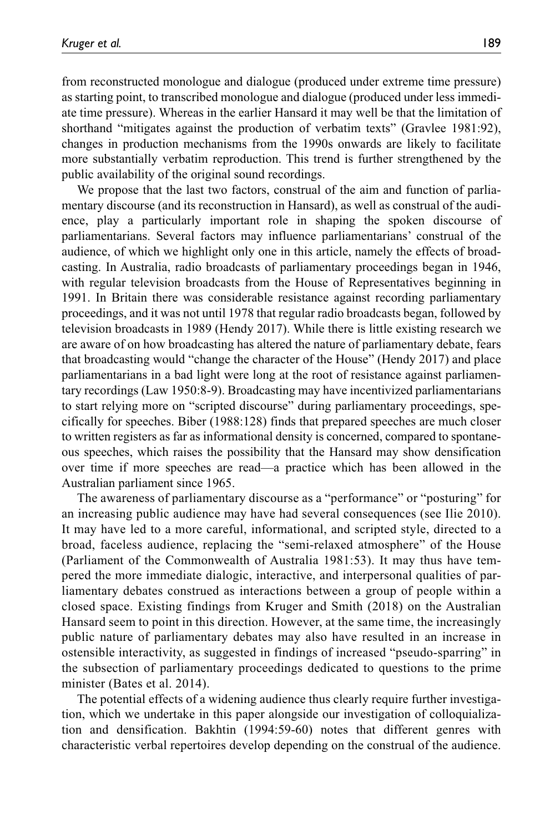from reconstructed monologue and dialogue (produced under extreme time pressure) as starting point, to transcribed monologue and dialogue (produced under less immediate time pressure). Whereas in the earlier Hansard it may well be that the limitation of shorthand "mitigates against the production of verbatim texts" (Gravlee 1981:92), changes in production mechanisms from the 1990s onwards are likely to facilitate more substantially verbatim reproduction. This trend is further strengthened by the public availability of the original sound recordings.

We propose that the last two factors, construal of the aim and function of parliamentary discourse (and its reconstruction in Hansard), as well as construal of the audience, play a particularly important role in shaping the spoken discourse of parliamentarians. Several factors may influence parliamentarians' construal of the audience, of which we highlight only one in this article, namely the effects of broadcasting. In Australia, radio broadcasts of parliamentary proceedings began in 1946, with regular television broadcasts from the House of Representatives beginning in 1991. In Britain there was considerable resistance against recording parliamentary proceedings, and it was not until 1978 that regular radio broadcasts began, followed by television broadcasts in 1989 (Hendy 2017). While there is little existing research we are aware of on how broadcasting has altered the nature of parliamentary debate, fears that broadcasting would "change the character of the House" (Hendy 2017) and place parliamentarians in a bad light were long at the root of resistance against parliamentary recordings (Law 1950:8-9). Broadcasting may have incentivized parliamentarians to start relying more on "scripted discourse" during parliamentary proceedings, specifically for speeches. Biber (1988:128) finds that prepared speeches are much closer to written registers as far as informational density is concerned, compared to spontaneous speeches, which raises the possibility that the Hansard may show densification over time if more speeches are read—a practice which has been allowed in the Australian parliament since 1965.

The awareness of parliamentary discourse as a "performance" or "posturing" for an increasing public audience may have had several consequences (see Ilie 2010). It may have led to a more careful, informational, and scripted style, directed to a broad, faceless audience, replacing the "semi-relaxed atmosphere" of the House (Parliament of the Commonwealth of Australia 1981:53). It may thus have tempered the more immediate dialogic, interactive, and interpersonal qualities of parliamentary debates construed as interactions between a group of people within a closed space. Existing findings from Kruger and Smith (2018) on the Australian Hansard seem to point in this direction. However, at the same time, the increasingly public nature of parliamentary debates may also have resulted in an increase in ostensible interactivity, as suggested in findings of increased "pseudo-sparring" in the subsection of parliamentary proceedings dedicated to questions to the prime minister (Bates et al. 2014).

The potential effects of a widening audience thus clearly require further investigation, which we undertake in this paper alongside our investigation of colloquialization and densification. Bakhtin (1994:59-60) notes that different genres with characteristic verbal repertoires develop depending on the construal of the audience.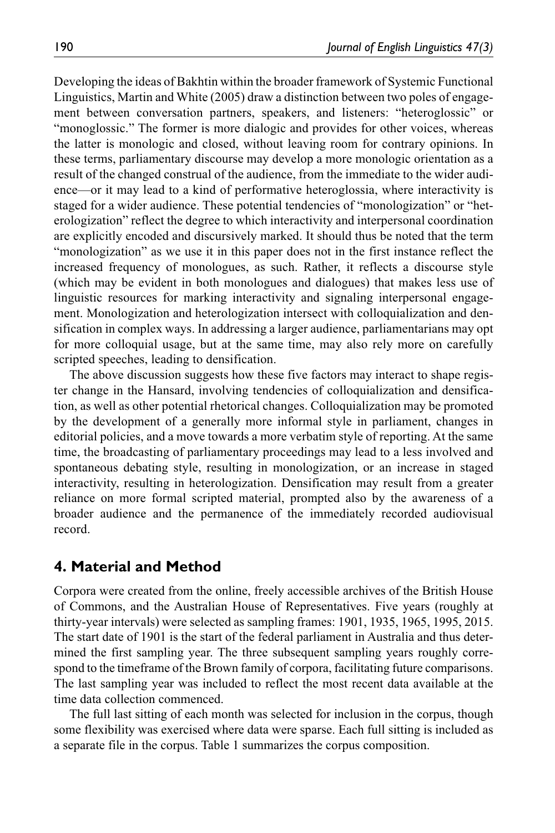Developing the ideas of Bakhtin within the broader framework of Systemic Functional Linguistics, Martin and White (2005) draw a distinction between two poles of engagement between conversation partners, speakers, and listeners: "heteroglossic" or "monoglossic." The former is more dialogic and provides for other voices, whereas the latter is monologic and closed, without leaving room for contrary opinions. In these terms, parliamentary discourse may develop a more monologic orientation as a result of the changed construal of the audience, from the immediate to the wider audience—or it may lead to a kind of performative heteroglossia, where interactivity is staged for a wider audience. These potential tendencies of "monologization" or "heterologization" reflect the degree to which interactivity and interpersonal coordination are explicitly encoded and discursively marked. It should thus be noted that the term "monologization" as we use it in this paper does not in the first instance reflect the increased frequency of monologues, as such. Rather, it reflects a discourse style (which may be evident in both monologues and dialogues) that makes less use of linguistic resources for marking interactivity and signaling interpersonal engagement. Monologization and heterologization intersect with colloquialization and densification in complex ways. In addressing a larger audience, parliamentarians may opt for more colloquial usage, but at the same time, may also rely more on carefully scripted speeches, leading to densification.

The above discussion suggests how these five factors may interact to shape register change in the Hansard, involving tendencies of colloquialization and densification, as well as other potential rhetorical changes. Colloquialization may be promoted by the development of a generally more informal style in parliament, changes in editorial policies, and a move towards a more verbatim style of reporting. At the same time, the broadcasting of parliamentary proceedings may lead to a less involved and spontaneous debating style, resulting in monologization, or an increase in staged interactivity, resulting in heterologization. Densification may result from a greater reliance on more formal scripted material, prompted also by the awareness of a broader audience and the permanence of the immediately recorded audiovisual record.

# **4. Material and Method**

Corpora were created from the online, freely accessible archives of the British House of Commons, and the Australian House of Representatives. Five years (roughly at thirty-year intervals) were selected as sampling frames: 1901, 1935, 1965, 1995, 2015. The start date of 1901 is the start of the federal parliament in Australia and thus determined the first sampling year. The three subsequent sampling years roughly correspond to the timeframe of the Brown family of corpora, facilitating future comparisons. The last sampling year was included to reflect the most recent data available at the time data collection commenced.

The full last sitting of each month was selected for inclusion in the corpus, though some flexibility was exercised where data were sparse. Each full sitting is included as a separate file in the corpus. Table 1 summarizes the corpus composition.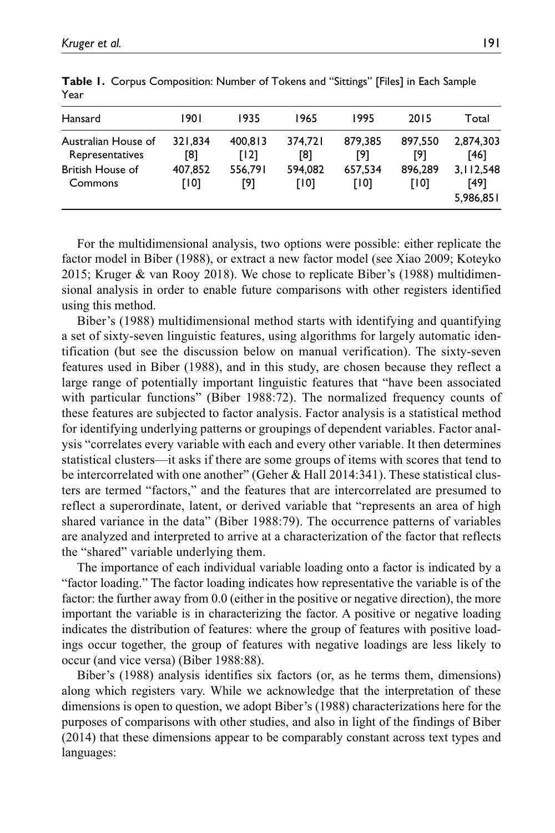| Hansard                                                    | 1901                      | 1935                       | 1965                      | 1995                      | 2015                      | Total                          |
|------------------------------------------------------------|---------------------------|----------------------------|---------------------------|---------------------------|---------------------------|--------------------------------|
| Australian House of<br>Representatives<br>British House of | 321.834<br>[8]<br>407,852 | 400.813<br>[12]<br>556.791 | 374.721<br>[8]<br>594.082 | 879,385<br>[9]<br>657,534 | 897,550<br>[9]<br>896.289 | 2,874,303<br>[46]<br>3,112,548 |
| Commons                                                    | [10]                      | [9]                        | [10]                      | [10]                      | [10]                      | [49]<br>5,986,851              |

**Table 1.** Corpus Composition: Number of Tokens and "Sittings" [Files] in Each Sample Year

For the multidimensional analysis, two options were possible: either replicate the factor model in Biber (1988), or extract a new factor model (see Xiao 2009; Koteyko 2015; Kruger & van Rooy 2018). We chose to replicate Biber's (1988) multidimensional analysis in order to enable future comparisons with other registers identified using this method.

Biber's (1988) multidimensional method starts with identifying and quantifying a set of sixty-seven linguistic features, using algorithms for largely automatic identification (but see the discussion below on manual verification). The sixty-seven features used in Biber (1988), and in this study, are chosen because they reflect a large range of potentially important linguistic features that "have been associated with particular functions" (Biber 1988:72). The normalized frequency counts of these features are subjected to factor analysis. Factor analysis is a statistical method for identifying underlying patterns or groupings of dependent variables. Factor analysis "correlates every variable with each and every other variable. It then determines statistical clusters—it asks if there are some groups of items with scores that tend to be intercorrelated with one another" (Geher & Hall 2014:341). These statistical clusters are termed "factors," and the features that are intercorrelated are presumed to reflect a superordinate, latent, or derived variable that "represents an area of high shared variance in the data" (Biber 1988:79). The occurrence patterns of variables are analyzed and interpreted to arrive at a characterization of the factor that reflects the "shared" variable underlying them.

The importance of each individual variable loading onto a factor is indicated by a "factor loading." The factor loading indicates how representative the variable is of the factor: the further away from 0.0 (either in the positive or negative direction), the more important the variable is in characterizing the factor. A positive or negative loading indicates the distribution of features: where the group of features with positive loadings occur together, the group of features with negative loadings are less likely to occur (and vice versa) (Biber 1988:88).

Biber's (1988) analysis identifies six factors (or, as he terms them, dimensions) along which registers vary. While we acknowledge that the interpretation of these dimensions is open to question, we adopt Biber's (1988) characterizations here for the purposes of comparisons with other studies, and also in light of the findings of Biber (2014) that these dimensions appear to be comparably constant across text types and languages: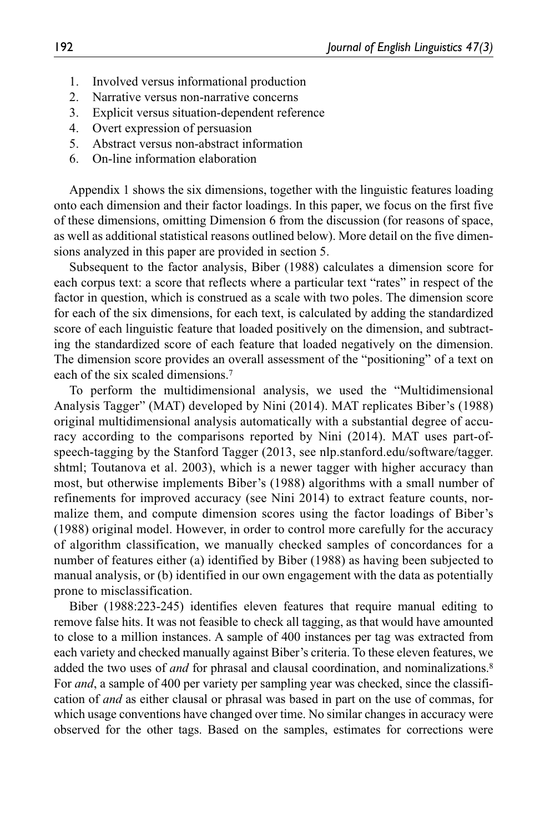- 1. Involved versus informational production
- 2. Narrative versus non-narrative concerns
- 3. Explicit versus situation-dependent reference
- 4. Overt expression of persuasion
- 5. Abstract versus non-abstract information
- 6. On-line information elaboration

Appendix 1 shows the six dimensions, together with the linguistic features loading onto each dimension and their factor loadings. In this paper, we focus on the first five of these dimensions, omitting Dimension 6 from the discussion (for reasons of space, as well as additional statistical reasons outlined below). More detail on the five dimensions analyzed in this paper are provided in section 5.

Subsequent to the factor analysis, Biber (1988) calculates a dimension score for each corpus text: a score that reflects where a particular text "rates" in respect of the factor in question, which is construed as a scale with two poles. The dimension score for each of the six dimensions, for each text, is calculated by adding the standardized score of each linguistic feature that loaded positively on the dimension, and subtracting the standardized score of each feature that loaded negatively on the dimension. The dimension score provides an overall assessment of the "positioning" of a text on each of the six scaled dimensions.7

To perform the multidimensional analysis, we used the "Multidimensional Analysis Tagger" (MAT) developed by Nini (2014). MAT replicates Biber's (1988) original multidimensional analysis automatically with a substantial degree of accuracy according to the comparisons reported by Nini (2014). MAT uses part-ofspeech-tagging by the Stanford Tagger (2013, see nlp.stanford.edu/software/tagger. shtml; Toutanova et al. 2003), which is a newer tagger with higher accuracy than most, but otherwise implements Biber's (1988) algorithms with a small number of refinements for improved accuracy (see Nini 2014) to extract feature counts, normalize them, and compute dimension scores using the factor loadings of Biber's (1988) original model. However, in order to control more carefully for the accuracy of algorithm classification, we manually checked samples of concordances for a number of features either (a) identified by Biber (1988) as having been subjected to manual analysis, or (b) identified in our own engagement with the data as potentially prone to misclassification.

Biber (1988:223-245) identifies eleven features that require manual editing to remove false hits. It was not feasible to check all tagging, as that would have amounted to close to a million instances. A sample of 400 instances per tag was extracted from each variety and checked manually against Biber's criteria. To these eleven features, we added the two uses of *and* for phrasal and clausal coordination, and nominalizations.<sup>8</sup> For *and*, a sample of 400 per variety per sampling year was checked, since the classification of *and* as either clausal or phrasal was based in part on the use of commas, for which usage conventions have changed over time. No similar changes in accuracy were observed for the other tags. Based on the samples, estimates for corrections were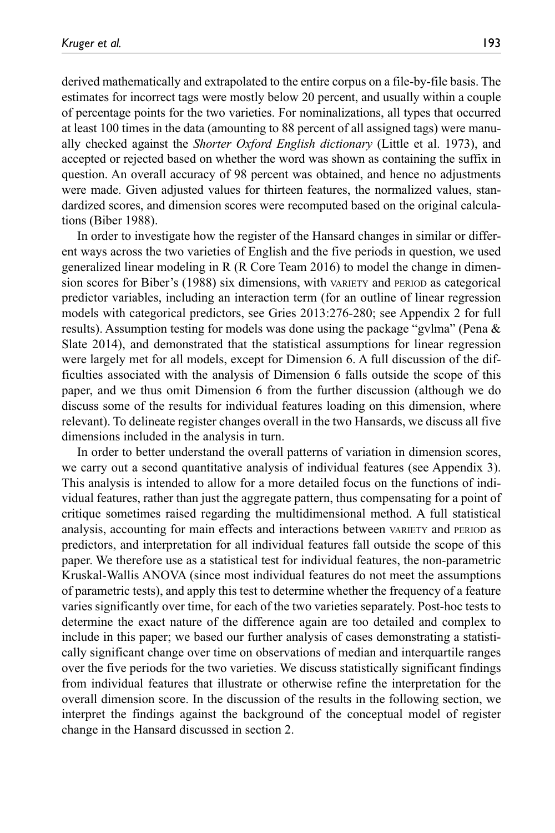derived mathematically and extrapolated to the entire corpus on a file-by-file basis. The estimates for incorrect tags were mostly below 20 percent, and usually within a couple of percentage points for the two varieties. For nominalizations, all types that occurred at least 100 times in the data (amounting to 88 percent of all assigned tags) were manually checked against the *Shorter Oxford English dictionary* (Little et al. 1973), and accepted or rejected based on whether the word was shown as containing the suffix in question. An overall accuracy of 98 percent was obtained, and hence no adjustments were made. Given adjusted values for thirteen features, the normalized values, standardized scores, and dimension scores were recomputed based on the original calculations (Biber 1988).

In order to investigate how the register of the Hansard changes in similar or different ways across the two varieties of English and the five periods in question, we used generalized linear modeling in R (R Core Team 2016) to model the change in dimension scores for Biber's (1988) six dimensions, with variety and period as categorical predictor variables, including an interaction term (for an outline of linear regression models with categorical predictors, see Gries 2013:276-280; see Appendix 2 for full results). Assumption testing for models was done using the package "gvlma" (Pena & Slate 2014), and demonstrated that the statistical assumptions for linear regression were largely met for all models, except for Dimension 6. A full discussion of the difficulties associated with the analysis of Dimension 6 falls outside the scope of this paper, and we thus omit Dimension 6 from the further discussion (although we do discuss some of the results for individual features loading on this dimension, where relevant). To delineate register changes overall in the two Hansards, we discuss all five dimensions included in the analysis in turn.

In order to better understand the overall patterns of variation in dimension scores, we carry out a second quantitative analysis of individual features (see Appendix 3). This analysis is intended to allow for a more detailed focus on the functions of individual features, rather than just the aggregate pattern, thus compensating for a point of critique sometimes raised regarding the multidimensional method. A full statistical analysis, accounting for main effects and interactions between variety and period as predictors, and interpretation for all individual features fall outside the scope of this paper. We therefore use as a statistical test for individual features, the non-parametric Kruskal-Wallis ANOVA (since most individual features do not meet the assumptions of parametric tests), and apply this test to determine whether the frequency of a feature varies significantly over time, for each of the two varieties separately. Post-hoc tests to determine the exact nature of the difference again are too detailed and complex to include in this paper; we based our further analysis of cases demonstrating a statistically significant change over time on observations of median and interquartile ranges over the five periods for the two varieties. We discuss statistically significant findings from individual features that illustrate or otherwise refine the interpretation for the overall dimension score. In the discussion of the results in the following section, we interpret the findings against the background of the conceptual model of register change in the Hansard discussed in section 2.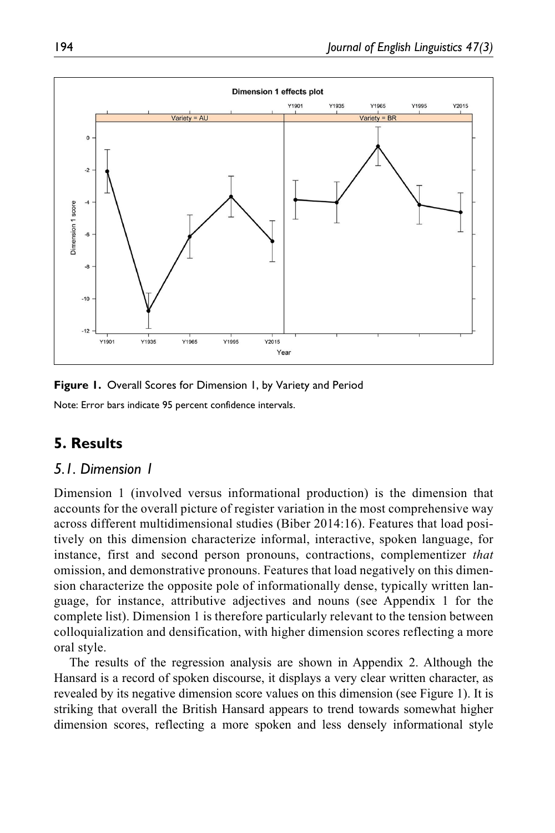

**Figure 1.** Overall Scores for Dimension 1, by Variety and Period Note: Error bars indicate 95 percent confidence intervals.

# **5. Results**

### *5.1. Dimension 1*

Dimension 1 (involved versus informational production) is the dimension that accounts for the overall picture of register variation in the most comprehensive way across different multidimensional studies (Biber 2014:16). Features that load positively on this dimension characterize informal, interactive, spoken language, for instance, first and second person pronouns, contractions, complementizer *that* omission, and demonstrative pronouns. Features that load negatively on this dimension characterize the opposite pole of informationally dense, typically written language, for instance, attributive adjectives and nouns (see Appendix 1 for the complete list). Dimension 1 is therefore particularly relevant to the tension between colloquialization and densification, with higher dimension scores reflecting a more oral style.

The results of the regression analysis are shown in Appendix 2. Although the Hansard is a record of spoken discourse, it displays a very clear written character, as revealed by its negative dimension score values on this dimension (see Figure 1). It is striking that overall the British Hansard appears to trend towards somewhat higher dimension scores, reflecting a more spoken and less densely informational style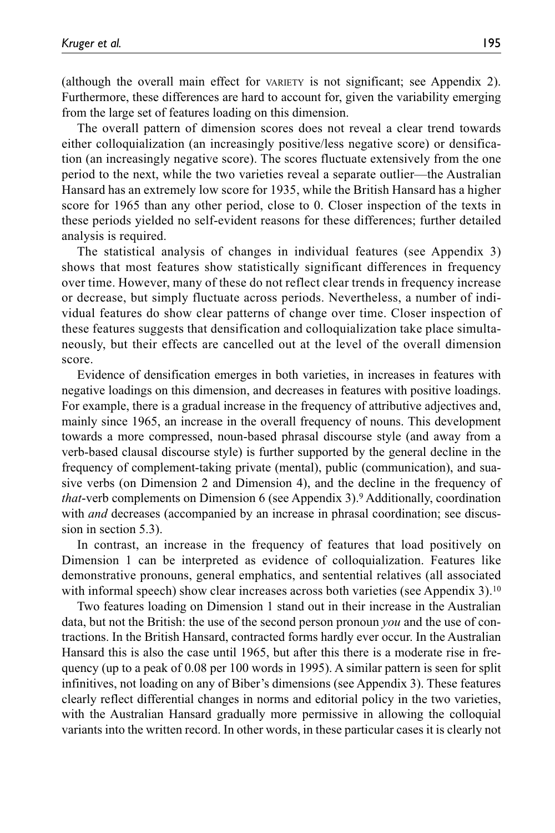(although the overall main effect for variety is not significant; see Appendix 2). Furthermore, these differences are hard to account for, given the variability emerging from the large set of features loading on this dimension.

The overall pattern of dimension scores does not reveal a clear trend towards either colloquialization (an increasingly positive/less negative score) or densification (an increasingly negative score). The scores fluctuate extensively from the one period to the next, while the two varieties reveal a separate outlier—the Australian Hansard has an extremely low score for 1935, while the British Hansard has a higher score for 1965 than any other period, close to 0. Closer inspection of the texts in these periods yielded no self-evident reasons for these differences; further detailed analysis is required.

The statistical analysis of changes in individual features (see Appendix 3) shows that most features show statistically significant differences in frequency over time. However, many of these do not reflect clear trends in frequency increase or decrease, but simply fluctuate across periods. Nevertheless, a number of individual features do show clear patterns of change over time. Closer inspection of these features suggests that densification and colloquialization take place simultaneously, but their effects are cancelled out at the level of the overall dimension score.

Evidence of densification emerges in both varieties, in increases in features with negative loadings on this dimension, and decreases in features with positive loadings. For example, there is a gradual increase in the frequency of attributive adjectives and, mainly since 1965, an increase in the overall frequency of nouns. This development towards a more compressed, noun-based phrasal discourse style (and away from a verb-based clausal discourse style) is further supported by the general decline in the frequency of complement-taking private (mental), public (communication), and suasive verbs (on Dimension 2 and Dimension 4), and the decline in the frequency of *that*-verb complements on Dimension 6 (see Appendix 3).<sup>9</sup> Additionally, coordination with *and* decreases (accompanied by an increase in phrasal coordination; see discussion in section 5.3).

In contrast, an increase in the frequency of features that load positively on Dimension 1 can be interpreted as evidence of colloquialization. Features like demonstrative pronouns, general emphatics, and sentential relatives (all associated with informal speech) show clear increases across both varieties (see Appendix 3).<sup>10</sup>

Two features loading on Dimension 1 stand out in their increase in the Australian data, but not the British: the use of the second person pronoun *you* and the use of contractions. In the British Hansard, contracted forms hardly ever occur. In the Australian Hansard this is also the case until 1965, but after this there is a moderate rise in frequency (up to a peak of 0.08 per 100 words in 1995). A similar pattern is seen for split infinitives, not loading on any of Biber's dimensions (see Appendix 3). These features clearly reflect differential changes in norms and editorial policy in the two varieties, with the Australian Hansard gradually more permissive in allowing the colloquial variants into the written record. In other words, in these particular cases it is clearly not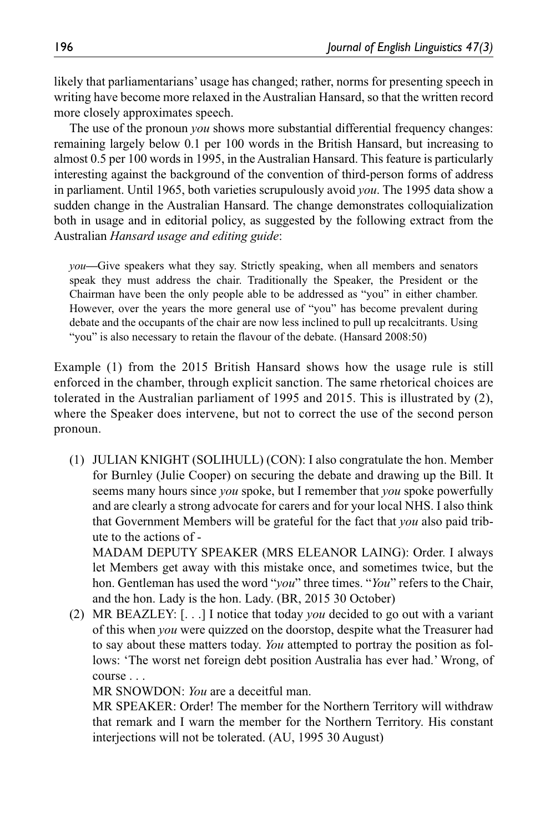likely that parliamentarians' usage has changed; rather, norms for presenting speech in writing have become more relaxed in the Australian Hansard, so that the written record more closely approximates speech.

The use of the pronoun *you* shows more substantial differential frequency changes: remaining largely below 0.1 per 100 words in the British Hansard, but increasing to almost 0.5 per 100 words in 1995, in the Australian Hansard. This feature is particularly interesting against the background of the convention of third-person forms of address in parliament. Until 1965, both varieties scrupulously avoid *you*. The 1995 data show a sudden change in the Australian Hansard. The change demonstrates colloquialization both in usage and in editorial policy, as suggested by the following extract from the Australian *Hansard usage and editing guide*:

*you***—**Give speakers what they say. Strictly speaking, when all members and senators speak they must address the chair. Traditionally the Speaker, the President or the Chairman have been the only people able to be addressed as "you" in either chamber. However, over the years the more general use of "you" has become prevalent during debate and the occupants of the chair are now less inclined to pull up recalcitrants. Using "you" is also necessary to retain the flavour of the debate. (Hansard 2008:50)

Example (1) from the 2015 British Hansard shows how the usage rule is still enforced in the chamber, through explicit sanction. The same rhetorical choices are tolerated in the Australian parliament of 1995 and 2015. This is illustrated by (2), where the Speaker does intervene, but not to correct the use of the second person pronoun.

(1) JULIAN KNIGHT (SOLIHULL) (CON): I also congratulate the hon. Member for Burnley (Julie Cooper) on securing the debate and drawing up the Bill. It seems many hours since *you* spoke, but I remember that *you* spoke powerfully and are clearly a strong advocate for carers and for your local NHS. I also think that Government Members will be grateful for the fact that *you* also paid tribute to the actions of -

MADAM DEPUTY SPEAKER (MRS ELEANOR LAING): Order. I always let Members get away with this mistake once, and sometimes twice, but the hon. Gentleman has used the word "*you*" three times. "*You*" refers to the Chair, and the hon. Lady is the hon. Lady. (BR, 2015 30 October)

(2) MR BEAZLEY: [. . .] I notice that today *you* decided to go out with a variant of this when *you* were quizzed on the doorstop, despite what the Treasurer had to say about these matters today. *You* attempted to portray the position as follows: 'The worst net foreign debt position Australia has ever had.' Wrong, of course . . .

MR SNOWDON: *You* are a deceitful man.

MR SPEAKER: Order! The member for the Northern Territory will withdraw that remark and I warn the member for the Northern Territory. His constant interjections will not be tolerated. (AU, 1995 30 August)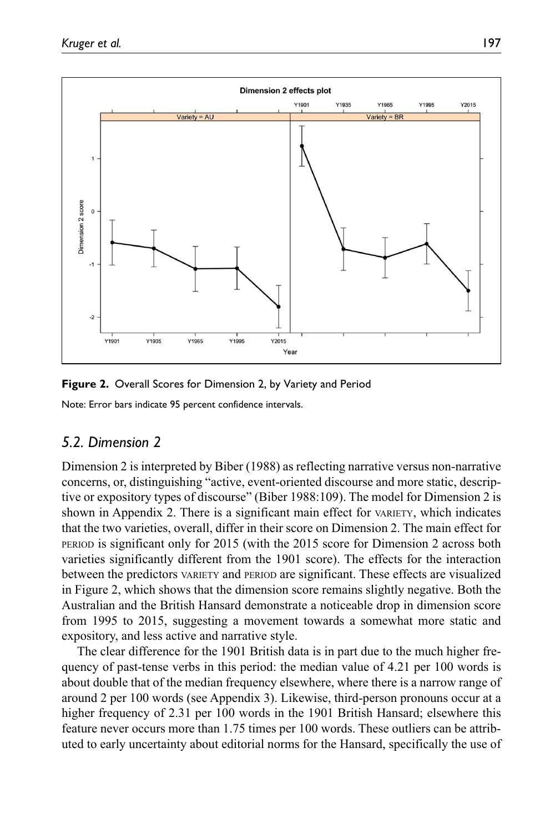



Note: Error bars indicate 95 percent confidence intervals.

# *5.2. Dimension 2*

Dimension 2 is interpreted by Biber (1988) as reflecting narrative versus non-narrative concerns, or, distinguishing "active, event-oriented discourse and more static, descriptive or expository types of discourse" (Biber 1988:109). The model for Dimension 2 is shown in Appendix 2. There is a significant main effect for variety, which indicates that the two varieties, overall, differ in their score on Dimension 2. The main effect for period is significant only for 2015 (with the 2015 score for Dimension 2 across both varieties significantly different from the 1901 score). The effects for the interaction between the predictors variety and period are significant. These effects are visualized in Figure 2, which shows that the dimension score remains slightly negative. Both the Australian and the British Hansard demonstrate a noticeable drop in dimension score from 1995 to 2015, suggesting a movement towards a somewhat more static and expository, and less active and narrative style.

The clear difference for the 1901 British data is in part due to the much higher frequency of past-tense verbs in this period: the median value of 4.21 per 100 words is about double that of the median frequency elsewhere, where there is a narrow range of around 2 per 100 words (see Appendix 3). Likewise, third-person pronouns occur at a higher frequency of 2.31 per 100 words in the 1901 British Hansard; elsewhere this feature never occurs more than 1.75 times per 100 words. These outliers can be attributed to early uncertainty about editorial norms for the Hansard, specifically the use of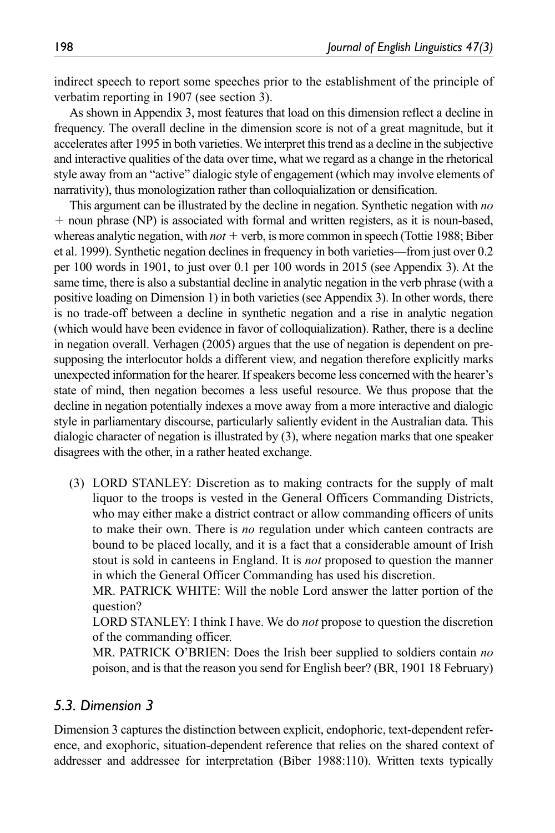indirect speech to report some speeches prior to the establishment of the principle of verbatim reporting in 1907 (see section 3).

As shown in Appendix 3, most features that load on this dimension reflect a decline in frequency. The overall decline in the dimension score is not of a great magnitude, but it accelerates after 1995 in both varieties. We interpret this trend as a decline in the subjective and interactive qualities of the data over time, what we regard as a change in the rhetorical style away from an "active" dialogic style of engagement (which may involve elements of narrativity), thus monologization rather than colloquialization or densification.

This argument can be illustrated by the decline in negation. Synthetic negation with *no* + noun phrase (NP) is associated with formal and written registers, as it is noun-based, whereas analytic negation, with *not* + verb, is more common in speech (Tottie 1988; Biber et al. 1999). Synthetic negation declines in frequency in both varieties—from just over 0.2 per 100 words in 1901, to just over 0.1 per 100 words in 2015 (see Appendix 3). At the same time, there is also a substantial decline in analytic negation in the verb phrase (with a positive loading on Dimension 1) in both varieties (see Appendix 3). In other words, there is no trade-off between a decline in synthetic negation and a rise in analytic negation (which would have been evidence in favor of colloquialization). Rather, there is a decline in negation overall. Verhagen (2005) argues that the use of negation is dependent on presupposing the interlocutor holds a different view, and negation therefore explicitly marks unexpected information for the hearer. If speakers become less concerned with the hearer's state of mind, then negation becomes a less useful resource. We thus propose that the decline in negation potentially indexes a move away from a more interactive and dialogic style in parliamentary discourse, particularly saliently evident in the Australian data. This dialogic character of negation is illustrated by (3), where negation marks that one speaker disagrees with the other, in a rather heated exchange.

(3) LORD STANLEY: Discretion as to making contracts for the supply of malt liquor to the troops is vested in the General Officers Commanding Districts, who may either make a district contract or allow commanding officers of units to make their own. There is *no* regulation under which canteen contracts are bound to be placed locally, and it is a fact that a considerable amount of Irish stout is sold in canteens in England. It is *not* proposed to question the manner in which the General Officer Commanding has used his discretion.

MR. PATRICK WHITE: Will the noble Lord answer the latter portion of the question?

LORD STANLEY: I think I have. We do *not* propose to question the discretion of the commanding officer.

MR. PATRICK O'BRIEN: Does the Irish beer supplied to soldiers contain *no* poison, and is that the reason you send for English beer? (BR, 1901 18 February)

### *5.3. Dimension 3*

Dimension 3 captures the distinction between explicit, endophoric, text-dependent reference, and exophoric, situation-dependent reference that relies on the shared context of addresser and addressee for interpretation (Biber 1988:110). Written texts typically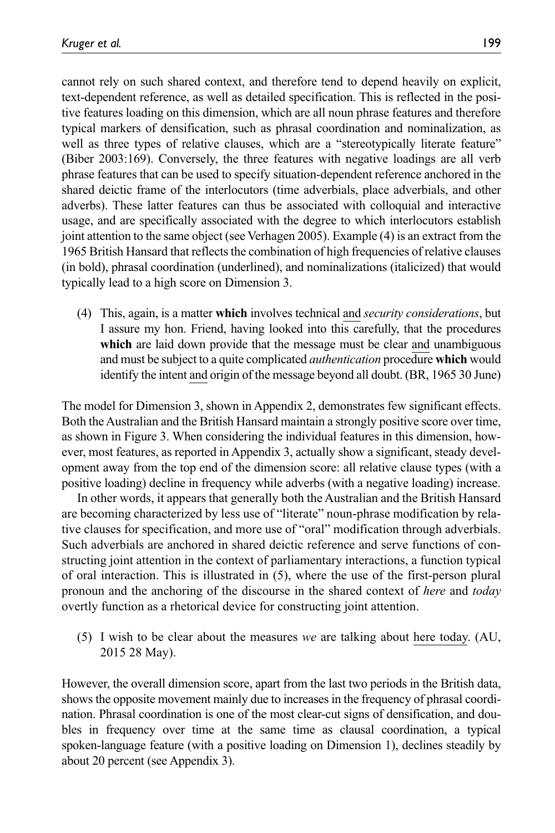cannot rely on such shared context, and therefore tend to depend heavily on explicit, text-dependent reference, as well as detailed specification. This is reflected in the positive features loading on this dimension, which are all noun phrase features and therefore typical markers of densification, such as phrasal coordination and nominalization, as well as three types of relative clauses, which are a "stereotypically literate feature" (Biber 2003:169). Conversely, the three features with negative loadings are all verb phrase features that can be used to specify situation-dependent reference anchored in the shared deictic frame of the interlocutors (time adverbials, place adverbials, and other adverbs). These latter features can thus be associated with colloquial and interactive usage, and are specifically associated with the degree to which interlocutors establish joint attention to the same object (see Verhagen 2005). Example (4) is an extract from the 1965 British Hansard that reflects the combination of high frequencies of relative clauses (in bold), phrasal coordination (underlined), and nominalizations (italicized) that would typically lead to a high score on Dimension 3.

(4) This, again, is a matter **which** involves technical and *security considerations*, but I assure my hon. Friend, having looked into this carefully, that the procedures **which** are laid down provide that the message must be clear and unambiguous and must be subject to a quite complicated *authentication* procedure **which** would identify the intent and origin of the message beyond all doubt. (BR, 1965 30 June)

The model for Dimension 3, shown in Appendix 2, demonstrates few significant effects. Both the Australian and the British Hansard maintain a strongly positive score over time, as shown in Figure 3. When considering the individual features in this dimension, however, most features, as reported in Appendix 3, actually show a significant, steady development away from the top end of the dimension score: all relative clause types (with a positive loading) decline in frequency while adverbs (with a negative loading) increase.

In other words, it appears that generally both the Australian and the British Hansard are becoming characterized by less use of "literate" noun-phrase modification by relative clauses for specification, and more use of "oral" modification through adverbials. Such adverbials are anchored in shared deictic reference and serve functions of constructing joint attention in the context of parliamentary interactions, a function typical of oral interaction. This is illustrated in (5), where the use of the first-person plural pronoun and the anchoring of the discourse in the shared context of *here* and *today* overtly function as a rhetorical device for constructing joint attention.

(5) I wish to be clear about the measures *we* are talking about here today. (AU, 2015 28 May).

However, the overall dimension score, apart from the last two periods in the British data, shows the opposite movement mainly due to increases in the frequency of phrasal coordination. Phrasal coordination is one of the most clear-cut signs of densification, and doubles in frequency over time at the same time as clausal coordination, a typical spoken-language feature (with a positive loading on Dimension 1), declines steadily by about 20 percent (see Appendix 3).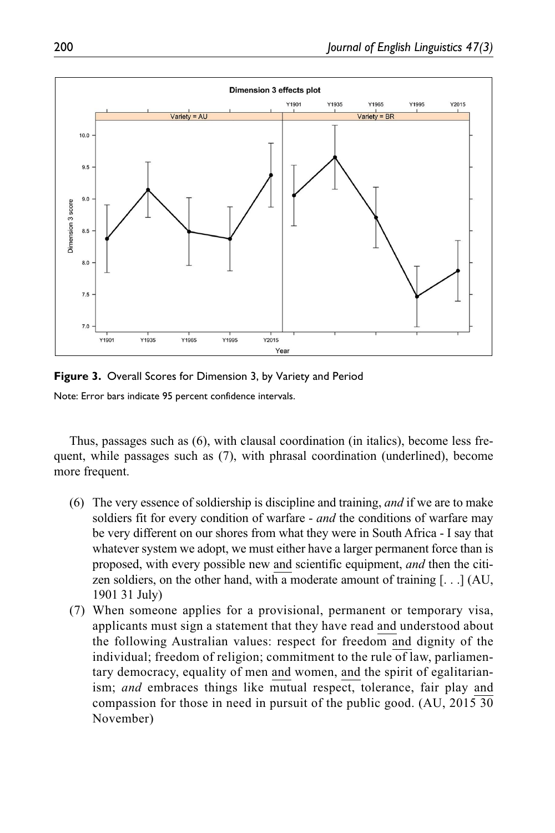

**Figure 3.** Overall Scores for Dimension 3, by Variety and Period

Note: Error bars indicate 95 percent confidence intervals.

Thus, passages such as (6), with clausal coordination (in italics), become less frequent, while passages such as (7), with phrasal coordination (underlined), become more frequent.

- (6) The very essence of soldiership is discipline and training, *and* if we are to make soldiers fit for every condition of warfare - *and* the conditions of warfare may be very different on our shores from what they were in South Africa - I say that whatever system we adopt, we must either have a larger permanent force than is proposed, with every possible new and scientific equipment, *and* then the citizen soldiers, on the other hand, with a moderate amount of training [. . .] (AU, 1901 31 July)
- (7) When someone applies for a provisional, permanent or temporary visa, applicants must sign a statement that they have read and understood about the following Australian values: respect for freedom and dignity of the individual; freedom of religion; commitment to the rule of law, parliamentary democracy, equality of men and women, and the spirit of egalitarianism; *and* embraces things like mutual respect, tolerance, fair play and compassion for those in need in pursuit of the public good. (AU, 2015 30 November)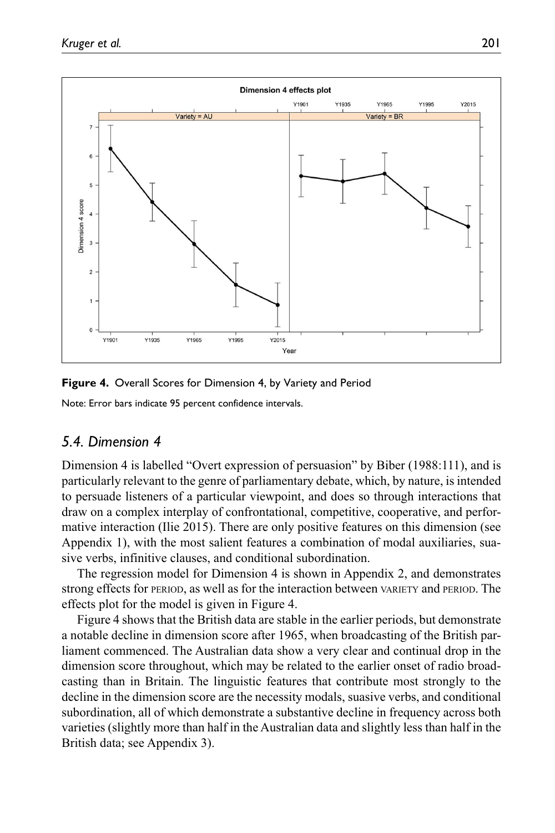



Note: Error bars indicate 95 percent confidence intervals.

### *5.4. Dimension 4*

Dimension 4 is labelled "Overt expression of persuasion" by Biber (1988:111), and is particularly relevant to the genre of parliamentary debate, which, by nature, is intended to persuade listeners of a particular viewpoint, and does so through interactions that draw on a complex interplay of confrontational, competitive, cooperative, and performative interaction (Ilie 2015). There are only positive features on this dimension (see Appendix 1), with the most salient features a combination of modal auxiliaries, suasive verbs, infinitive clauses, and conditional subordination.

The regression model for Dimension 4 is shown in Appendix 2, and demonstrates strong effects for period, as well as for the interaction between variety and period. The effects plot for the model is given in Figure 4.

Figure 4 shows that the British data are stable in the earlier periods, but demonstrate a notable decline in dimension score after 1965, when broadcasting of the British parliament commenced. The Australian data show a very clear and continual drop in the dimension score throughout, which may be related to the earlier onset of radio broadcasting than in Britain. The linguistic features that contribute most strongly to the decline in the dimension score are the necessity modals, suasive verbs, and conditional subordination, all of which demonstrate a substantive decline in frequency across both varieties (slightly more than half in the Australian data and slightly less than half in the British data; see Appendix 3).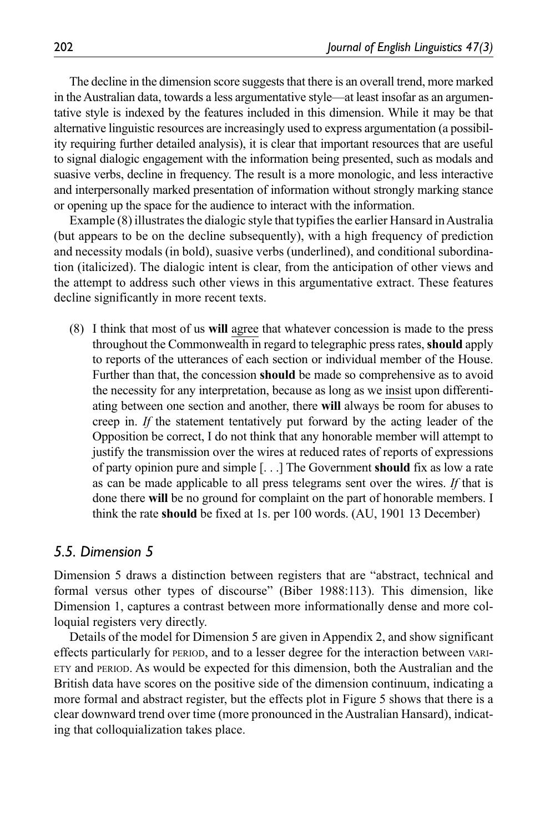The decline in the dimension score suggests that there is an overall trend, more marked in the Australian data, towards a less argumentative style—at least insofar as an argumentative style is indexed by the features included in this dimension. While it may be that alternative linguistic resources are increasingly used to express argumentation (a possibility requiring further detailed analysis), it is clear that important resources that are useful to signal dialogic engagement with the information being presented, such as modals and suasive verbs, decline in frequency. The result is a more monologic, and less interactive and interpersonally marked presentation of information without strongly marking stance or opening up the space for the audience to interact with the information.

Example (8) illustrates the dialogic style that typifies the earlier Hansard in Australia (but appears to be on the decline subsequently), with a high frequency of prediction and necessity modals (in bold), suasive verbs (underlined), and conditional subordination (italicized). The dialogic intent is clear, from the anticipation of other views and the attempt to address such other views in this argumentative extract. These features decline significantly in more recent texts.

(8) I think that most of us **will** agree that whatever concession is made to the press throughout the Commonwealth in regard to telegraphic press rates, **should** apply to reports of the utterances of each section or individual member of the House. Further than that, the concession **should** be made so comprehensive as to avoid the necessity for any interpretation, because as long as we insist upon differentiating between one section and another, there **will** always be room for abuses to creep in. *If* the statement tentatively put forward by the acting leader of the Opposition be correct, I do not think that any honorable member will attempt to justify the transmission over the wires at reduced rates of reports of expressions of party opinion pure and simple [. . .] The Government **should** fix as low a rate as can be made applicable to all press telegrams sent over the wires. *If* that is done there **will** be no ground for complaint on the part of honorable members. I think the rate **should** be fixed at 1s. per 100 words. (AU, 1901 13 December)

#### *5.5. Dimension 5*

Dimension 5 draws a distinction between registers that are "abstract, technical and formal versus other types of discourse" (Biber 1988:113). This dimension, like Dimension 1, captures a contrast between more informationally dense and more colloquial registers very directly.

Details of the model for Dimension 5 are given in Appendix 2, and show significant effects particularly for period, and to a lesser degree for the interaction between vari-ETY and PERIOD. As would be expected for this dimension, both the Australian and the British data have scores on the positive side of the dimension continuum, indicating a more formal and abstract register, but the effects plot in Figure 5 shows that there is a clear downward trend over time (more pronounced in the Australian Hansard), indicating that colloquialization takes place.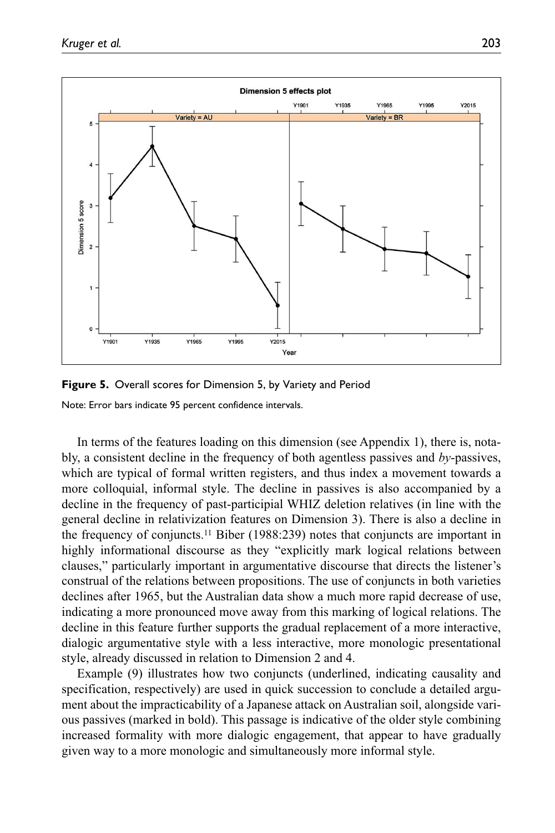

**Figure 5.** Overall scores for Dimension 5, by Variety and Period Note: Error bars indicate 95 percent confidence intervals.

In terms of the features loading on this dimension (see Appendix 1), there is, notably, a consistent decline in the frequency of both agentless passives and *by*-passives, which are typical of formal written registers, and thus index a movement towards a more colloquial, informal style. The decline in passives is also accompanied by a decline in the frequency of past-participial WHIZ deletion relatives (in line with the general decline in relativization features on Dimension 3). There is also a decline in the frequency of conjuncts.11 Biber (1988:239) notes that conjuncts are important in highly informational discourse as they "explicitly mark logical relations between clauses," particularly important in argumentative discourse that directs the listener's construal of the relations between propositions. The use of conjuncts in both varieties declines after 1965, but the Australian data show a much more rapid decrease of use, indicating a more pronounced move away from this marking of logical relations. The decline in this feature further supports the gradual replacement of a more interactive, dialogic argumentative style with a less interactive, more monologic presentational style, already discussed in relation to Dimension 2 and 4.

Example (9) illustrates how two conjuncts (underlined, indicating causality and specification, respectively) are used in quick succession to conclude a detailed argument about the impracticability of a Japanese attack on Australian soil, alongside various passives (marked in bold). This passage is indicative of the older style combining increased formality with more dialogic engagement, that appear to have gradually given way to a more monologic and simultaneously more informal style.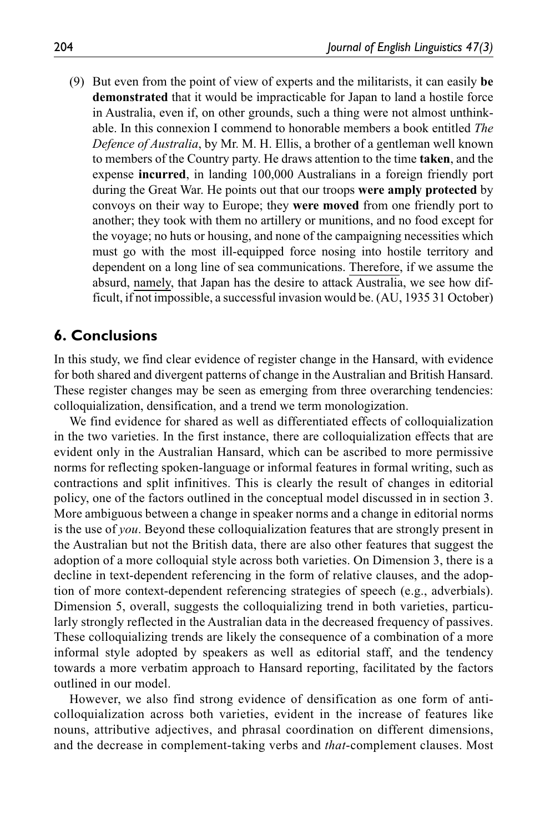(9) But even from the point of view of experts and the militarists, it can easily **be demonstrated** that it would be impracticable for Japan to land a hostile force in Australia, even if, on other grounds, such a thing were not almost unthinkable. In this connexion I commend to honorable members a book entitled *The Defence of Australia*, by Mr. M. H. Ellis, a brother of a gentleman well known to members of the Country party. He draws attention to the time **taken**, and the expense **incurred**, in landing 100,000 Australians in a foreign friendly port during the Great War. He points out that our troops **were amply protected** by convoys on their way to Europe; they **were moved** from one friendly port to another; they took with them no artillery or munitions, and no food except for the voyage; no huts or housing, and none of the campaigning necessities which must go with the most ill-equipped force nosing into hostile territory and dependent on a long line of sea communications. Therefore, if we assume the absurd, namely, that Japan has the desire to attack Australia, we see how difficult, if not impossible, a successful invasion would be. (AU, 1935 31 October)

### **6. Conclusions**

In this study, we find clear evidence of register change in the Hansard, with evidence for both shared and divergent patterns of change in the Australian and British Hansard. These register changes may be seen as emerging from three overarching tendencies: colloquialization, densification, and a trend we term monologization.

We find evidence for shared as well as differentiated effects of colloquialization in the two varieties. In the first instance, there are colloquialization effects that are evident only in the Australian Hansard, which can be ascribed to more permissive norms for reflecting spoken-language or informal features in formal writing, such as contractions and split infinitives. This is clearly the result of changes in editorial policy, one of the factors outlined in the conceptual model discussed in in section 3. More ambiguous between a change in speaker norms and a change in editorial norms is the use of *you*. Beyond these colloquialization features that are strongly present in the Australian but not the British data, there are also other features that suggest the adoption of a more colloquial style across both varieties. On Dimension 3, there is a decline in text-dependent referencing in the form of relative clauses, and the adoption of more context-dependent referencing strategies of speech (e.g., adverbials). Dimension 5, overall, suggests the colloquializing trend in both varieties, particularly strongly reflected in the Australian data in the decreased frequency of passives. These colloquializing trends are likely the consequence of a combination of a more informal style adopted by speakers as well as editorial staff, and the tendency towards a more verbatim approach to Hansard reporting, facilitated by the factors outlined in our model.

However, we also find strong evidence of densification as one form of anticolloquialization across both varieties, evident in the increase of features like nouns, attributive adjectives, and phrasal coordination on different dimensions, and the decrease in complement-taking verbs and *that*-complement clauses. Most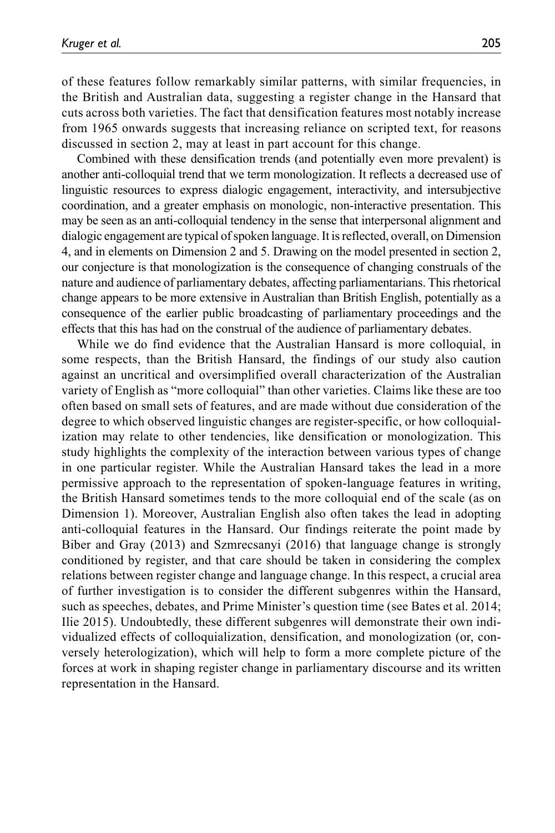of these features follow remarkably similar patterns, with similar frequencies, in the British and Australian data, suggesting a register change in the Hansard that cuts across both varieties. The fact that densification features most notably increase from 1965 onwards suggests that increasing reliance on scripted text, for reasons discussed in section 2, may at least in part account for this change.

Combined with these densification trends (and potentially even more prevalent) is another anti-colloquial trend that we term monologization. It reflects a decreased use of linguistic resources to express dialogic engagement, interactivity, and intersubjective coordination, and a greater emphasis on monologic, non-interactive presentation. This may be seen as an anti-colloquial tendency in the sense that interpersonal alignment and dialogic engagement are typical of spoken language. It is reflected, overall, on Dimension 4, and in elements on Dimension 2 and 5. Drawing on the model presented in section 2, our conjecture is that monologization is the consequence of changing construals of the nature and audience of parliamentary debates, affecting parliamentarians. This rhetorical change appears to be more extensive in Australian than British English, potentially as a consequence of the earlier public broadcasting of parliamentary proceedings and the effects that this has had on the construal of the audience of parliamentary debates.

While we do find evidence that the Australian Hansard is more colloquial, in some respects, than the British Hansard, the findings of our study also caution against an uncritical and oversimplified overall characterization of the Australian variety of English as "more colloquial" than other varieties. Claims like these are too often based on small sets of features, and are made without due consideration of the degree to which observed linguistic changes are register-specific, or how colloquialization may relate to other tendencies, like densification or monologization. This study highlights the complexity of the interaction between various types of change in one particular register. While the Australian Hansard takes the lead in a more permissive approach to the representation of spoken-language features in writing, the British Hansard sometimes tends to the more colloquial end of the scale (as on Dimension 1). Moreover, Australian English also often takes the lead in adopting anti-colloquial features in the Hansard. Our findings reiterate the point made by Biber and Gray (2013) and Szmrecsanyi (2016) that language change is strongly conditioned by register, and that care should be taken in considering the complex relations between register change and language change. In this respect, a crucial area of further investigation is to consider the different subgenres within the Hansard, such as speeches, debates, and Prime Minister's question time (see Bates et al. 2014; Ilie 2015). Undoubtedly, these different subgenres will demonstrate their own individualized effects of colloquialization, densification, and monologization (or, conversely heterologization), which will help to form a more complete picture of the forces at work in shaping register change in parliamentary discourse and its written representation in the Hansard.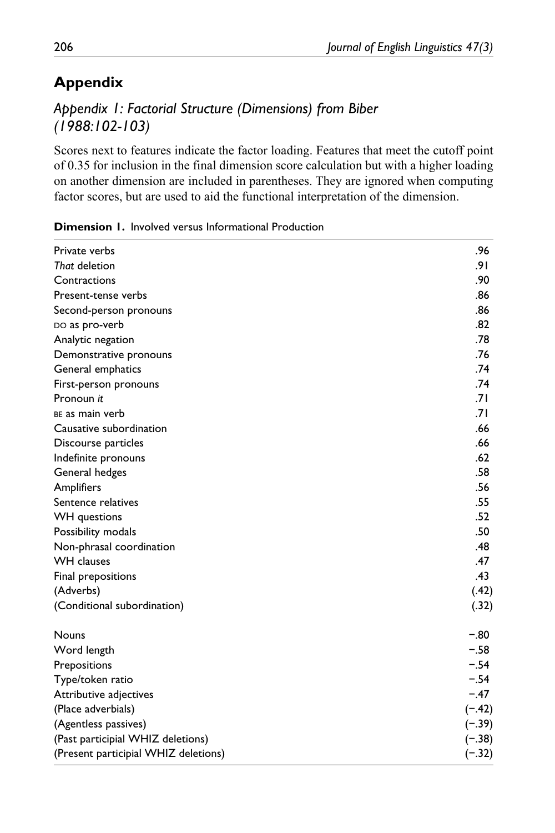# **Appendix**

# *Appendix 1: Factorial Structure (Dimensions) from Biber (1988:102-103)*

Scores next to features indicate the factor loading. Features that meet the cutoff point of 0.35 for inclusion in the final dimension score calculation but with a higher loading on another dimension are included in parentheses. They are ignored when computing factor scores, but are used to aid the functional interpretation of the dimension.

| Private verbs                        | .96      |
|--------------------------------------|----------|
| That deletion                        | .91      |
| Contractions                         | .90      |
| Present-tense verbs                  | .86      |
| Second-person pronouns               | .86      |
| DO as pro-verb                       | .82      |
| Analytic negation                    | .78      |
| Demonstrative pronouns               | .76      |
| General emphatics                    | .74      |
| First-person pronouns                | .74      |
| Pronoun it                           | .71      |
| BE as main verb                      | .71      |
| Causative subordination              | .66      |
| Discourse particles                  | .66      |
| Indefinite pronouns                  | .62      |
| General hedges                       | .58      |
| Amplifiers                           | .56      |
| Sentence relatives                   | .55      |
| WH questions                         | .52      |
| Possibility modals                   | .50      |
| Non-phrasal coordination             | .48      |
| <b>WH</b> clauses                    | .47      |
| Final prepositions                   | .43      |
| (Adverbs)                            | (.42)    |
| (Conditional subordination)          | (.32)    |
| <b>Nouns</b>                         | $-.80$   |
| Word length                          | $-.58$   |
| Prepositions                         | $-.54$   |
| Type/token ratio                     | $-.54$   |
| Attributive adjectives               | $-.47$   |
| (Place adverbials)                   | $(-.42)$ |
| (Agentless passives)                 | $(-.39)$ |
| (Past participial WHIZ deletions)    | $(-.38)$ |
| (Present participial WHIZ deletions) | $(-.32)$ |

**Dimension 1.** Involved versus Informational Production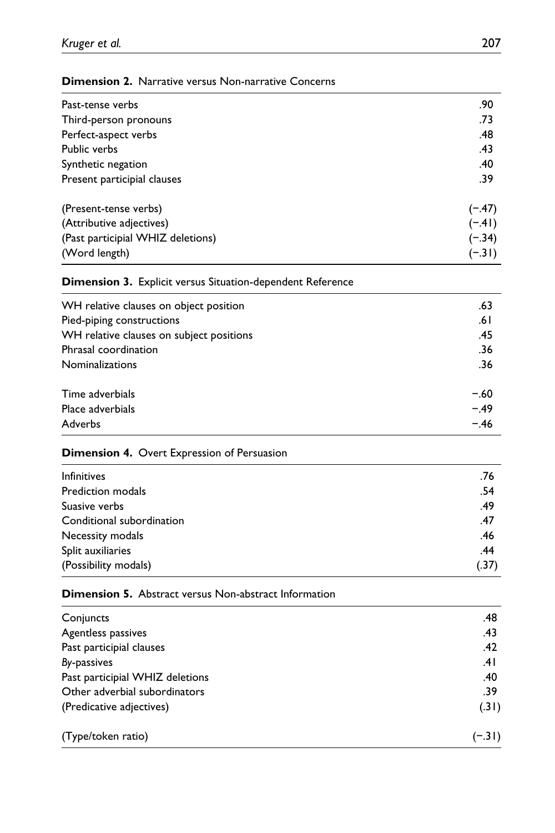### **Dimension 2.** Narrative versus Non-narrative Concerns

| .90      |
|----------|
| .73      |
| .48      |
| .43      |
| .40      |
| .39      |
| $(-.47)$ |
| $(-.41)$ |
| $(-.34)$ |
| $(-.31)$ |
|          |

#### **Dimension 3.** Explicit versus Situation-dependent Reference

| WH relative clauses on object position   | .63    |
|------------------------------------------|--------|
| Pied-piping constructions                | ا 6.   |
| WH relative clauses on subject positions | .45    |
| Phrasal coordination                     | .36    |
| <b>Nominalizations</b>                   | .36    |
| Time adverbials                          | $-.60$ |
| Place adverbials                         | $-.49$ |
| Adverbs                                  | $-.46$ |

#### **Dimension 4.** Overt Expression of Persuasion

| Infinitives               | .76   |
|---------------------------|-------|
| Prediction modals         | .54   |
| Suasive verbs             | .49   |
| Conditional subordination | .47   |
| Necessity modals          | .46   |
| Split auxiliaries         | .44   |
| (Possibility modals)      | (.37) |

### **Dimension 5.** Abstract versus Non-abstract Information

| Conjuncts                       | .48      |
|---------------------------------|----------|
| Agentless passives              | .43      |
| Past participial clauses        | .42      |
| By-passives                     | ا 4.     |
| Past participial WHIZ deletions | .40      |
| Other adverbial subordinators   | .39      |
| (Predicative adjectives)        | (.31)    |
| (Type/token ratio)              | $(-.31)$ |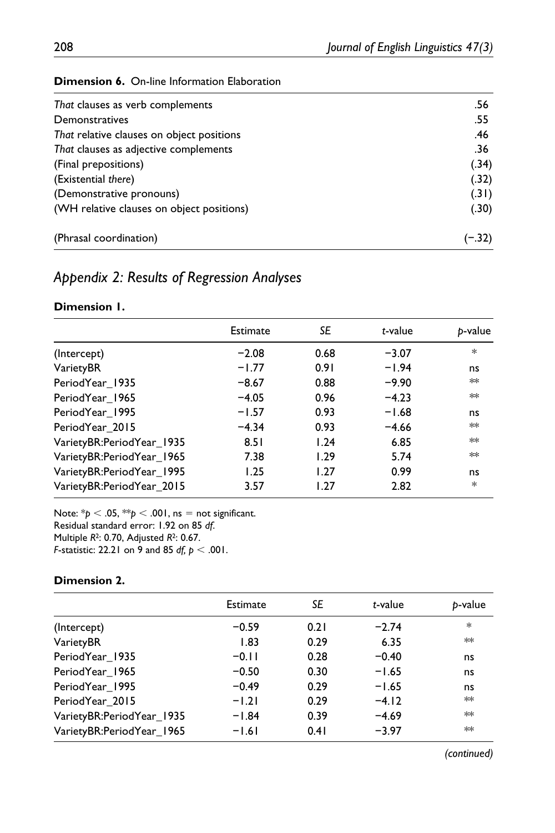| That clauses as verb complements          | .56      |
|-------------------------------------------|----------|
| Demonstratives                            | .55      |
| That relative clauses on object positions | .46      |
| That clauses as adjective complements     | .36      |
| (Final prepositions)                      | (.34)    |
| (Existential there)                       | (.32)    |
| (Demonstrative pronouns)                  | (.31)    |
| (WH relative clauses on object positions) | (.30)    |
| (Phrasal coordination)                    | $(-.32)$ |

#### **Dimension 6.** On-line Information Elaboration

# *Appendix 2: Results of Regression Analyses*

#### **Dimension 1.**

|                           | Estimate | SE   | t-value | b-value |
|---------------------------|----------|------|---------|---------|
| (Intercept)               | $-2.08$  | 0.68 | $-3.07$ | $\ast$  |
| VarietyBR                 | $-1.77$  | 0.91 | $-1.94$ | ns      |
| PeriodYear 1935           | $-8.67$  | 0.88 | $-9.90$ | ∗∗      |
| PeriodYear 1965           | $-4.05$  | 0.96 | $-4.23$ | ∗∗      |
| PeriodYear 1995           | $-1.57$  | 0.93 | $-1.68$ | ns      |
| PeriodYear_2015           | $-4.34$  | 0.93 | $-4.66$ | **      |
| VarietyBR:PeriodYear_1935 | 8.51     | 1.24 | 6.85    | ∗∗      |
| VarietyBR:PeriodYear_1965 | 7.38     | 1.29 | 5.74    | ∗∗      |
| VarietyBR:PeriodYear_1995 | 1.25     | 1.27 | 0.99    | ns      |
| VarietyBR:PeriodYear_2015 | 3.57     | 1.27 | 2.82    | *       |

Note: \**p* < .05, \*\**p* < .001, ns = not significant. Residual standard error: 1.92 on 85 *df*. Multiple *R*2: 0.70, Adjusted *R*2: 0.67. *F*-statistic: 22.21 on 9 and 85 *df, p* < .001.

#### **Dimension 2.**

|                           | Estimate | SE   | t-value | b-value |
|---------------------------|----------|------|---------|---------|
| (Intercept)               | $-0.59$  | 0.21 | $-2.74$ | $\ast$  |
| VarietyBR                 | 1.83     | 0.29 | 6.35    | **      |
| PeriodYear 1935           | $-0.11$  | 0.28 | $-0.40$ | ns      |
| PeriodYear 1965           | $-0.50$  | 0.30 | $-1.65$ | ns      |
| PeriodYear 1995           | $-0.49$  | 0.29 | $-1.65$ | ns      |
| PeriodYear 2015           | $-1.21$  | 0.29 | $-4.12$ | **      |
| VarietyBR:PeriodYear_1935 | $-1.84$  | 0.39 | $-4.69$ | **      |
| VarietyBR:PeriodYear_1965 | $-1.61$  | 0.41 | $-3.97$ | **      |

*(continued)*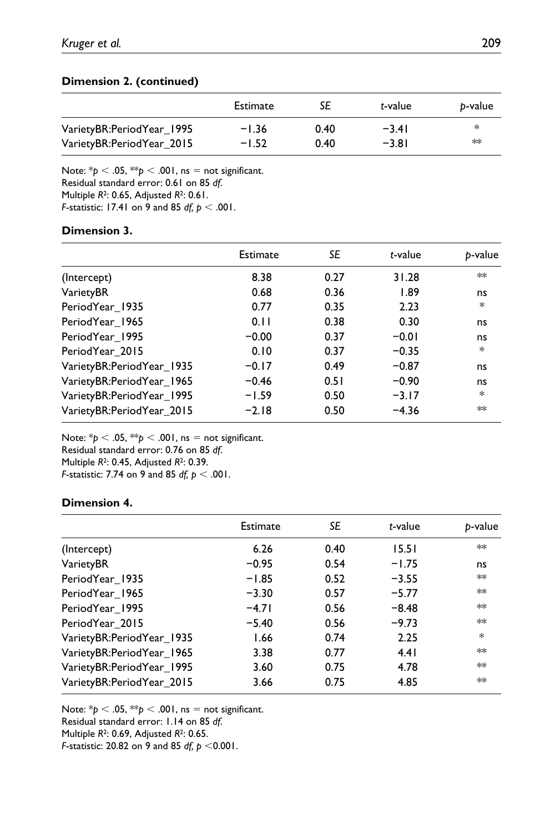#### **Dimension 2. (continued)**

|                           | Estimate | SE   | t-value | b-value |
|---------------------------|----------|------|---------|---------|
| VarietyBR:PeriodYear_1995 | $-1.36$  | 0.40 | $-3.41$ | ∗       |
| VarietyBR:PeriodYear 2015 | $-1.52$  | 0.40 | $-3.81$ | ∗∗      |

Note: \**p* < .05, \*\**p* < .001, ns = not significant. Residual standard error: 0.61 on 85 *df*. Multiple *R*2: 0.65, Adjusted *R*2: 0.61. *F*-statistic: 17.41 on 9 and 85 *df, p* < .001.

#### **Dimension 3.**

|                           | Estimate | SE   | t-value | b-value |
|---------------------------|----------|------|---------|---------|
| (Intercept)               | 8.38     | 0.27 | 31.28   | **      |
| VarietyBR                 | 0.68     | 0.36 | 1.89    | ns      |
| PeriodYear_1935           | 0.77     | 0.35 | 2.23    | $\ast$  |
| PeriodYear 1965           | 0.11     | 0.38 | 0.30    | ns      |
| PeriodYear 1995           | $-0.00$  | 0.37 | $-0.01$ | ns      |
| PeriodYear_2015           | 0.10     | 0.37 | $-0.35$ | $\ast$  |
| VarietyBR:PeriodYear_1935 | $-0.17$  | 0.49 | $-0.87$ | ns      |
| VarietyBR:PeriodYear_1965 | $-0.46$  | 0.51 | $-0.90$ | ns      |
| VarietyBR:PeriodYear_1995 | $-1.59$  | 0.50 | $-3.17$ | $\ast$  |
| VarietyBR:PeriodYear_2015 | $-2.18$  | 0.50 | $-4.36$ | **      |

Note: \**p* < .05, \*\**p* < .001, ns = not significant. Residual standard error: 0.76 on 85 *df*. Multiple *R*2: 0.45, Adjusted *R*2: 0.39. *F*-statistic: 7.74 on 9 and 85 *df, p* < .001.

#### **Dimension 4.**

|                           | Estimate | SE   | t-value | b-value |
|---------------------------|----------|------|---------|---------|
| (Intercept)               | 6.26     | 0.40 | 15.51   | **      |
| VarietyBR                 | $-0.95$  | 0.54 | $-1.75$ | ns      |
| PeriodYear 1935           | $-1.85$  | 0.52 | $-3.55$ | **      |
| PeriodYear 1965           | $-3.30$  | 0.57 | $-5.77$ | **      |
| PeriodYear 1995           | $-4.71$  | 0.56 | $-8.48$ | **      |
| PeriodYear_2015           | $-5.40$  | 0.56 | $-9.73$ | **      |
| VarietyBR:PeriodYear_1935 | 1.66     | 0.74 | 2.25    | $\ast$  |
| VarietyBR:PeriodYear_1965 | 3.38     | 0.77 | 4.41    | **      |
| VarietyBR:PeriodYear_1995 | 3.60     | 0.75 | 4.78    | **      |
| VarietyBR:PeriodYear_2015 | 3.66     | 0.75 | 4.85    | **      |

Note:  $*$ *p*  $<$  .05,  $**$ *p*  $<$  .001, ns = not significant.

Residual standard error: 1.14 on 85 *df*.

Multiple *R*2: 0.69, Adjusted *R*2: 0.65.

*F*-statistic: 20.82 on 9 and 85 *df, p* <0.001.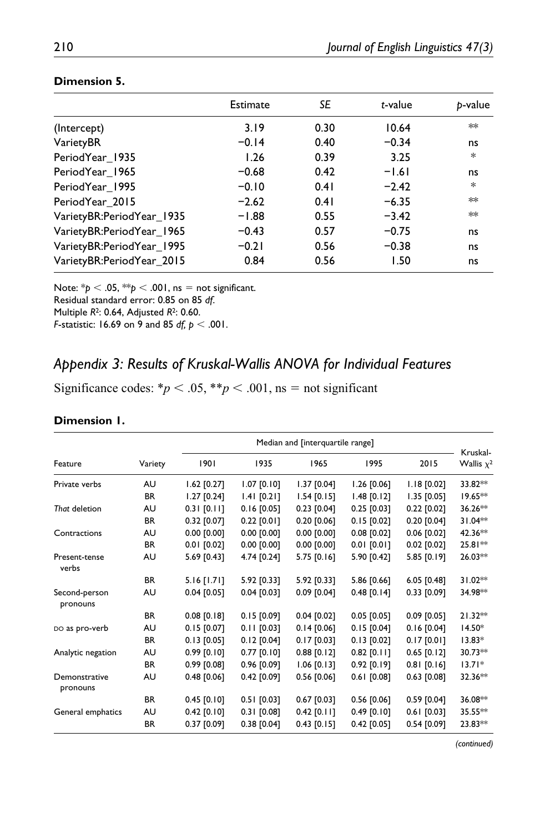|                           | Estimate | SE   | t-value | b-value |
|---------------------------|----------|------|---------|---------|
| (Intercept)               | 3.19     | 0.30 | 10.64   | **      |
| VarietyBR                 | $-0.14$  | 0.40 | $-0.34$ | ns      |
| PeriodYear 1935           | 1.26     | 0.39 | 3.25    | *       |
| PeriodYear 1965           | $-0.68$  | 0.42 | $-1.61$ | ns      |
| PeriodYear 1995           | $-0.10$  | 0.41 | $-2.42$ | *       |
| PeriodYear 2015           | $-2.62$  | 0.41 | $-6.35$ | **      |
| VarietyBR:PeriodYear_1935 | $-1.88$  | 0.55 | $-3.42$ | **      |
| VarietyBR:PeriodYear_1965 | $-0.43$  | 0.57 | $-0.75$ | ns      |
| VarietyBR:PeriodYear_1995 | $-0.21$  | 0.56 | $-0.38$ | ns      |
| VarietyBR:PeriodYear 2015 | 0.84     | 0.56 | 1.50    | ns      |
|                           |          |      |         |         |

#### **Dimension 5.**

Note: \**p* < .05, \*\**p* < .001, ns = not significant. Residual standard error: 0.85 on 85 *df*. Multiple *R*2: 0.64, Adjusted *R*2: 0.60. *F*-statistic: 16.69 on 9 and 85 *df, p* < .001.

# *Appendix 3: Results of Kruskal-Wallis ANOVA for Individual Features*

Significance codes:  $* p < .05$ ,  $* p < .001$ , ns = not significant

| Dimension 1. |  |
|--------------|--|
|--------------|--|

|                           |           |               |                 | Median and [interquartile range] |               |                 |                             |
|---------------------------|-----------|---------------|-----------------|----------------------------------|---------------|-----------------|-----------------------------|
| Feature                   | Variety   | 1901          | 1935            | 1965                             | 1995          | 2015            | Kruskal-<br>Wallis $\chi^2$ |
| Private verbs             | AU        | $1.62$ [0.27] | $1.07$ [0.10]   | $1.37$ [0.04]                    | $1.26$ [0.06] | $1.18$ [0.02]   | 33.82**                     |
|                           | BR        | $1.27$ [0.24] | $1.41$ [0.21]   | 1.54 [0.15]                      | $1.48$ [0.12] | $1.35$ [0.05]   | 19.65**                     |
| That deletion             | AU        | $0.31$ [0.11] | $0.16$ [0.05]   | $0.23$ [0.04]                    | $0.25$ [0.03] | $0.22$ [0.02]   | 36.26**                     |
|                           | <b>BR</b> | $0.32$ [0.07] | $0.22$ [0.01]   | $0.20$ [0.06]                    | $0.15$ [0.02] | $0.20$ [0.04]   | $31.04**$                   |
| Contractions              | AU        | $0.00$ [0.00] | $0.00$ $[0.00]$ | $0.00$ [0.00]                    | $0.08$ [0.02] | $0.06$ [0.02]   | 42.36**                     |
|                           | <b>BR</b> | $0.01$ [0.02] | $0.00$ [0.00]   | $0.00$ [0.00]                    | $0.01$ [0.01] | $0.02$ $[0.02]$ | 25.81**                     |
| Present-tense<br>verbs    | AU        | 5.69 [0.43]   | 4.74 [0.24]     | $5.75$ [0.16]                    | 5.90 [0.42]   | 5.85 [0.19]     | $26.03**$                   |
|                           | <b>BR</b> | $5.16$ [1.71] | 5.92 [0.33]     | 5.92 [0.33]                      | 5.86 [0.66]   | $6.05$ [0.48]   | $31.02**$                   |
| Second-person<br>pronouns | AU        | $0.04$ [0.05] | $0.04$ [0.03]   | $0.09$ [0.04]                    | $0.48$ [0.14] | 0.33 [0.09]     | 34.98**                     |
|                           | <b>BR</b> | $0.08$ [0.18] | $0.15$ [0.09]   | $0.04$ [0.02]                    | $0.05$ [0.05] | $0.09$ [0.05]   | $21.32**$                   |
| DO as pro-verb            | AU        | $0.15$ [0.07] | $0.11$ [0.03]   | $0.14$ [0.06]                    | $0.15$ [0.04] | $0.16$ [0.04]   | $14.50*$                    |
|                           | <b>BR</b> | $0.13$ [0.05] | $0.12$ [0.04]   | $0.17$ [0.03]                    | $0.13$ [0.02] | $0.17$ [0.01]   | $13.83*$                    |
| Analytic negation         | AU        | $0.99$ [0.10] | $0.77$ [0.10]   | $0.88$ [0.12]                    | $0.82$ [0.11] | $0.65$ [0.12]   | $30.73**$                   |
|                           | <b>BR</b> | 0.99 [0.08]   | 0.96 [0.09]     | $1.06$ [0.13]                    | $0.92$ [0.19] | $0.81$ [0.16]   | $13.71*$                    |
| Demonstrative<br>pronouns | AU        | $0.48$ [0.06] | $0.42$ [0.09]   | $0.56$ [0.06]                    | $0.61$ [0.08] | $0.63$ [0.08]   | 32.36**                     |
|                           | <b>BR</b> | $0.45$ [0.10] | $0.51$ [0.03]   | $0.67$ [0.03]                    | $0.56$ [0.06] | $0.59$ [0.04]   | 36.08**                     |
| General emphatics         | AU        | $0.42$ [0.10] | $0.31$ [0.08]   | $0.42$ [0.11]                    | $0.49$ [0.10] | $0.61$ [0.03]   | 35.55**                     |
|                           | BR        | 0.37 [0.09]   | $0.38$ [0.04]   | $0.43$ [0.15]                    | $0.42$ [0.05] | $0.54$ [0.09]   | 23.83**                     |

*(continued)*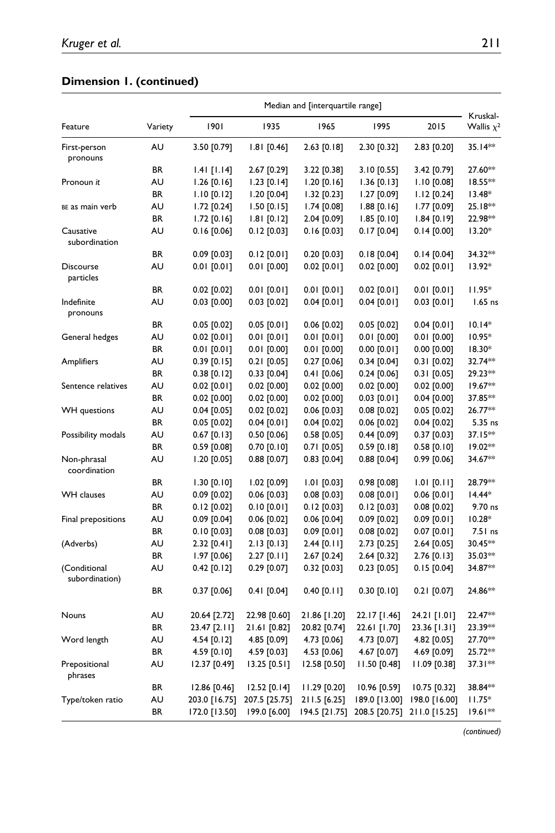### **Dimension 1. (continued)**

|                                |           |                              |                              | Median and [interquartile range] |                              |                              |                             |
|--------------------------------|-----------|------------------------------|------------------------------|----------------------------------|------------------------------|------------------------------|-----------------------------|
| Feature                        | Variety   | 1901                         | 1935                         | 1965                             | 1995                         | 2015                         | Kruskal-<br>Wallis $\chi^2$ |
| First-person<br>pronouns       | AU        | 3.50 [0.79]                  | $1.81$ [0.46]                | $2.63$ [0.18]                    | 2.30 [0.32]                  | 2.83 [0.20]                  | 35.14**                     |
|                                | BR        | $1.41$ [1.14]                | 2.67 [0.29]                  | 3.22 [0.38]                      | 3.10 [0.55]                  | 3.42 [0.79]                  | 27.60**                     |
| Pronoun it                     | AU        | $1.26$ [0.16]                | $1.23$ [0.14]                | $1.20$ [0.16]                    | $1.36$ [0.13]                | $1.10$ [0.08]                | $18.55**$                   |
|                                | BR        | $1.10$ [0.12]                | $1.20$ [0.04]                | $1.32$ [0.23]                    | 1.27 [0.09]                  | $1.12$ [0.24]                | $13.48*$                    |
| BE as main verb                | AU        | $1.72$ [0.24]                | 1.50 [0.15]                  | $1.74$ [0.08]                    | $1.88$ [0.16]                | 1.77 [0.09]                  | $25.18**$                   |
|                                | BR        | $1.72$ [0.16]                | $1.81$ [0.12]                | 2.04 [0.09]                      | $1.85$ [0.10]                | 1.84 [0.19]                  | 22.98**                     |
| Causative<br>subordination     | AU        | $0.16$ [0.06]                | $0.12$ [0.03]                | 0.16 [0.03]                      | $0.17$ [0.04]                | $0.14$ [0.00]                | $13.20*$                    |
|                                | <b>BR</b> | $0.09$ [0.03]                | $0.12$ [0.01]                | 0.20 [0.03]                      | $0.18$ [0.04]                | $0.14$ [0.04]                | 34.32**                     |
| Discourse<br>particles         | AU        | 0.01 [0.01]                  | $0.01$ [0.00]                | $0.02$ [0.01]                    | $0.02$ [0.00]                | $0.02$ [0.01]                | $13.92*$                    |
|                                | BR        | $0.02$ [0.02]                | $0.01$ [0.01]                | $0.01$ [0.01]                    | $0.02$ [0.01]                | $0.01$ [0.01]                | $11.95*$                    |
| Indefinite<br>pronouns         | AU        | $0.03$ $[0.00]$              | $0.03$ [0.02]                | $0.04$ [0.01]                    | $0.04$ [0.01]                | $0.03$ [0.01]                | $1.65$ ns                   |
|                                | <b>BR</b> | $0.05$ [0.02]                | $0.05$ $[0.01]$              | 0.06 [0.02]                      | $0.05$ [0.02]                | $0.04$ [0.01]                | $10.14*$                    |
| General hedges                 | AU        | $0.02$ [0.01]                | $0.01$ [0.01]                | 0.01 [0.01]                      | $0.01$ [0.00]                | $0.01$ [0.00]                | $10.95*$                    |
|                                | BR        | $0.01$ $[0.01]$              | $0.01$ [0.00]                | 0.01 [0.00]                      | $0.00$ [0.01]                | $0.00$ [0.00]                | $18.30*$                    |
| Amplifiers                     | AU        | $0.39$ [0.15]                | $0.21$ [0.05]                | $0.27$ [0.06]                    | $0.34$ [0.04]                | $0.31$ [0.02]                | 32.74**                     |
|                                | BR        | $0.38$ [0.12]                | $0.33$ [0.04]                | $0.41$ [0.06]                    | $0.24$ [0.06]                | $0.31$ [0.05]                | 29.23**                     |
| Sentence relatives             | AU        | $0.02$ [0.01]                | $0.02$ [0.00]                | $0.02$ $[0.00]$                  | $0.02$ [0.00]                | $0.02$ [0.00]                | $19.67**$                   |
|                                | BR        | $0.02$ [0.00]                | $0.02$ [0.00]                | $0.02$ $[0.00]$                  | $0.03$ [0.01]                | $0.04$ [0.00]                | 37.85**                     |
| WH questions                   | AU        | $0.04$ [0.05]                | $0.02$ [0.02]                | 0.06 [0.03]                      | $0.08$ [0.02]                | 0.05 [0.02]                  | 26.77**                     |
|                                | BR        | $0.05$ [0.02]                | $0.04$ [0.01]                | $0.04$ [0.02]                    | 0.06 [0.02]                  | $0.04$ [0.02]                | 5.35 ns                     |
| Possibility modals             | AU        | $0.67$ [0.13]                | $0.50$ [0.06]                | 0.58 [0.05]                      | 0.44 [0.09]                  | 0.37 [0.03]                  | 37.15**                     |
|                                | BR        | $0.59$ [0.08]                | $0.70$ [0.10]                | $0.71$ [0.05]                    | $0.59$ [0.18]                | $0.58$ [0.10]                | 19.02**                     |
| Non-phrasal<br>coordination    | AU        | $1.20$ [0.05]                | 0.88 [0.07]                  | $0.83$ [0.04]                    | $0.88$ [0.04]                | 0.99 [0.06]                  | 34.67**                     |
|                                | BR        | 1.30 [0.10]                  | $1.02$ [0.09]                | $1.01$ [0.03]                    | $0.98$ [0.08]                | $1.01$ $[0.11]$              | 28.79**                     |
| <b>WH</b> clauses              | AU        | $0.09$ [0.02]                | $0.06$ [0.03]                | $0.08$ [0.03]                    | $0.08$ [0.01]                | $0.06$ $[0.01]$              | $14.44*$                    |
|                                | <b>BR</b> | $0.12$ [0.02]                | $0.10$ $[0.01]$              | $0.12$ [0.03]                    | $0.12$ [0.03]                | $0.08$ [0.02]                | 9.70 ns                     |
| Final prepositions             | AU        | $0.09$ [0.04]                | $0.06$ $[0.02]$              | $0.06$ [0.04]                    | $0.09$ $[0.02]$              | $0.09$ [0.01]                | $10.28*$                    |
|                                | <b>BR</b> | $0.10$ [0.03]                | $0.08$ [0.03]                | 0.09 [0.01]                      | $0.08$ [0.02]                | 0.07 [0.01]                  | 7.51ns                      |
| (Adverbs)                      | AU        | 2.32 [0.41]                  | $2.13$ [0.13]                | $2.44$ [0.11]                    | 2.73 [0.25]                  | 2.64 [0.05]                  | 30.45**                     |
|                                | <b>BR</b> | $1.97$ [0.06]                | $2.27$ [0.11]                | 2.67 [0.24]                      | 2.64 [0.32]                  | 2.76 [0.13]                  | 35.03**                     |
| (Conditional<br>subordination) | AU        | $0.42$ [0.12]                | $0.29$ [0.07]                | $0.32$ [0.03]                    | $0.23$ [0.05]                | $0.15$ [0.04]                | 34.87**                     |
|                                | BR        | $0.37$ [0.06]                | $0.41$ [0.04]                | $0.40$ [0.11]                    | 0.30 [0.10]                  | $0.21$ [0.07]                | 24.86**                     |
| Nouns                          | AU<br>BR  | 20.64 [2.72]<br>23.47 [2.11] | 22.98 [0.60]<br>21.61 [0.82] | 21.86 [1.20]<br>20.82 [0.74]     | 22.17 [1.46]<br>22.61 [1.70] | 24.21 [1.01]<br>23.36 [1.31] | 22.47**<br>23.39**          |
| Word length                    | AU        | 4.54 [0.12]                  | 4.85 [0.09]                  | 4.73 [0.06]                      | 4.73 [0.07]                  | 4.82 [0.05]                  | 27.70**                     |
|                                | BR        | 4.59 [0.10]                  | 4.59 [0.03]                  | 4.53 [0.06]                      | 4.67 [0.07]                  | 4.69 [0.09]                  | 25.72**                     |
| Prepositional<br>phrases       | AU        | 12.37 [0.49]                 | 13.25 [0.51]                 | 12.58 [0.50]                     | 11.50 [0.48]                 | 11.09 [0.38]                 | $37.31**$                   |
|                                | BR        | 12.86 [0.46]                 | 12.52 [0.14]                 | 11.29 [0.20]                     | 10.96 [0.59]                 | 10.75 [0.32]                 | 38.84**                     |
| Type/token ratio               | AU        | 203.0 [16.75]                | 207.5 [25.75]                | 211.5 [6.25]                     | 189.0 [13.00]                | 198.0 [16.00]                | $11.75*$                    |
|                                | <b>BR</b> | 172.0 [13.50]                | 199.0 [6.00]                 | 194.5 [21.75]                    | 208.5 [20.75]                | 211.0 [15.25]                | $19.61**$                   |

*(continued)*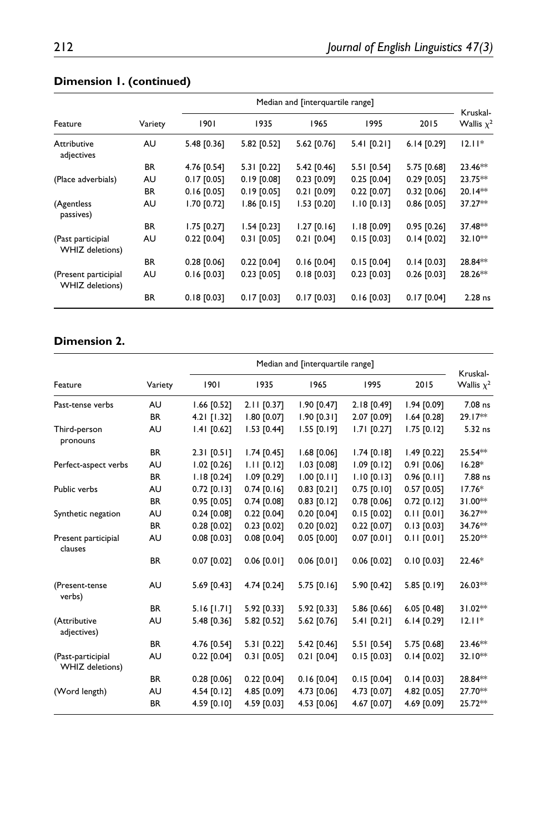| Feature                                 | Variety   | 1901          | 1935          | 1965          | 1995          | 2015          | Kruskal-<br>Wallis $\chi^2$ |
|-----------------------------------------|-----------|---------------|---------------|---------------|---------------|---------------|-----------------------------|
| Attributive<br>adjectives               | AU        | 5.48 [0.36]   | 5.82 [0.52]   | 5.62 [0.76]   | 5.41 [0.21]   | $6.14$ [0.29] | $12.11*$                    |
|                                         | <b>BR</b> | 4.76 [0.54]   | 5.31 [0.22]   | 5.42 [0.46]   | $5.51$ [0.54] | 5.75 [0.68]   | $23.46**$                   |
| (Place adverbials)                      | AU        | $0.17$ [0.05] | $0.19$ [0.08] | $0.23$ [0.09] | $0.25$ [0.04] | $0.29$ [0.05] | 23.75**                     |
|                                         | <b>BR</b> | $0.16$ [0.05] | $0.19$ [0.05] | $0.21$ [0.09] | $0.22$ [0.07] | $0.32$ [0.06] | $20.14**$                   |
| (Agentless<br>passives)                 | AU        | $1.70$ [0.72] | $1.86$ [0.15] | $1.53$ [0.20] | $1.10$ [0.13] | 0.86 [0.05]   | 37.27**                     |
|                                         | <b>BR</b> | $1.75$ [0.27] | $1.54$ [0.23] | $1.27$ [0.16] | $1.18$ [0.09] | $0.95$ [0.26] | 37.48**                     |
| (Past participial<br>WHIZ deletions)    | AU        | $0.22$ [0.04] | $0.31$ [0.05] | $0.21$ [0.04] | $0.15$ [0.03] | $0.14$ [0.02] | $32.10**$                   |
|                                         | <b>BR</b> | $0.28$ [0.06] | $0.22$ [0.04] | $0.16$ [0.04] | $0.15$ [0.04] | $0.14$ [0.03] | 28.84**                     |
| (Present participial<br>WHIZ deletions) | AU        | $0.16$ [0.03] | $0.23$ [0.05] | $0.18$ [0.03] | $0.23$ [0.03] | $0.26$ [0.03] | 28.26**                     |
|                                         | <b>BR</b> | $0.18$ [0.03] | $0.17$ [0.03] | $0.17$ [0.03] | $0.16$ [0.03] | $0.17$ [0.04] | $2.28$ ns                   |

### **Dimension 1. (continued)**

#### **Dimension 2.**

|                                             |           |               |                 | Median and [interquartile range] |               |                 |                          |
|---------------------------------------------|-----------|---------------|-----------------|----------------------------------|---------------|-----------------|--------------------------|
| Feature                                     | Variety   | 1901          | 1935            | 1965                             | 1995          | 2015            | Kruskal-<br>Wallis $x^2$ |
| Past-tense verbs                            | AU        | $1.66$ [0.52] | $2.11$ [0.37]   | $1.90$ [0.47]                    | 2.18 [0.49]   | 1.94 [0.09]     | 7.08 ns                  |
|                                             | <b>BR</b> | 4.21 [1.32]   | 1.80 [0.07]     | 1.90 [0.31]                      | 2.07 [0.09]   | $1.64$ [0.28]   | 29.17**                  |
| Third-person<br>pronouns                    | AU        | $1.41$ [0.62] | $1.53$ [0.44]   | $1.55$ [0.19]                    | $1.71$ [0.27] | $1.75$ [0.12]   | 5.32 ns                  |
|                                             | <b>BR</b> | 2.31 [0.51]   | $1.74$ [0.45]   | $1.68$ [0.06]                    | $1.74$ [0.18] | $1.49$ [0.22]   | 25.54**                  |
| Perfect-aspect verbs                        | AU        | $1.02$ [0.26] | $1.11$ $[0.12]$ | $1.03$ [0.08]                    | $1.09$ [0.12] | $0.91$ [0.06]   | $16.28*$                 |
|                                             | <b>BR</b> | $1.18$ [0.24] | $1.09$ [0.29]   | $1.00$ [0.11]                    | $1.10$ [0.13] | $0.96$ [0.11]   | 7.88 ns                  |
| Public verbs                                | AU        | $0.72$ [0.13] | $0.74$ [0.16]   | $0.83$ [0.21]                    | $0.75$ [0.10] | $0.57$ [0.05]   | $17.76*$                 |
|                                             | <b>BR</b> | 0.95 [0.05]   | $0.74$ [0.08]   | $0.83$ [0.12]                    | $0.78$ [0.06] | $0.72$ [0.12]   | 31.00**                  |
| Synthetic negation                          | AU        | 0.24 [0.08]   | $0.22$ [0.04]   | $0.20$ $[0.04]$                  | $0.15$ [0.02] | $0.11$ $[0.01]$ | 36.27**                  |
|                                             | BR        | $0.28$ [0.02] | $0.23$ [0.02]   | $0.20$ [0.02]                    | $0.22$ [0.07] | $0.13$ [0.03]   | 34.76**                  |
| Present participial<br>clauses              | AU        | $0.08$ [0.03] | $0.08$ [0.04]   | $0.05$ [0.00]                    | 0.07 [0.01]   | $0.11$ [0.01]   | 25.20**                  |
|                                             | BR        | $0.07$ [0.02] | $0.06$ [0.01]   | $0.06$ [0.01]                    | 0.06 [0.02]   | $0.10$ [0.03]   | 22.46*                   |
| (Present-tense<br>verbs)                    | AU        | 5.69 [0.43]   | 4.74 [0.24]     | $5.75$ [0.16]                    | 5.90 [0.42]   | 5.85 [0.19]     | 26.03**                  |
|                                             | <b>BR</b> | $5.16$ [1.71] | 5.92 [0.33]     | 5.92 [0.33]                      | 5.86 [0.66]   | $6.05$ [0.48]   | $31.02**$                |
| (Attributive<br>adjectives)                 | AU        | 5.48 [0.36]   | 5.82 [0.52]     | 5.62 [0.76]                      | 5.41 [0.21]   | $6.14$ [0.29]   | $12.11*$                 |
|                                             | <b>BR</b> | 4.76 [0.54]   | 5.31 [0.22]     | 5.42 [0.46]                      | 5.51 [0.54]   | 5.75 [0.68]     | 23.46**                  |
| (Past-participial<br><b>WHIZ</b> deletions) | AU        | $0.22$ [0.04] | $0.31$ [0.05]   | $0.21$ [0.04]                    | $0.15$ [0.03] | $0.14$ [0.02]   | $32.10**$                |
|                                             | <b>BR</b> | $0.28$ [0.06] | $0.22$ $[0.04]$ | $0.16$ [0.04]                    | $0.15$ [0.04] | $0.14$ [0.03]   | 28.84**                  |
| (Word length)                               | AU        | 4.54 [0.12]   | 4.85 [0.09]     | 4.73 [0.06]                      | 4.73 [0.07]   | 4.82 [0.05]     | 27.70**                  |
|                                             | <b>BR</b> | 4.59 [0.10]   | 4.59 [0.03]     | 4.53 [0.06]                      | 4.67 [0.07]   | 4.69 [0.09]     | 25.72**                  |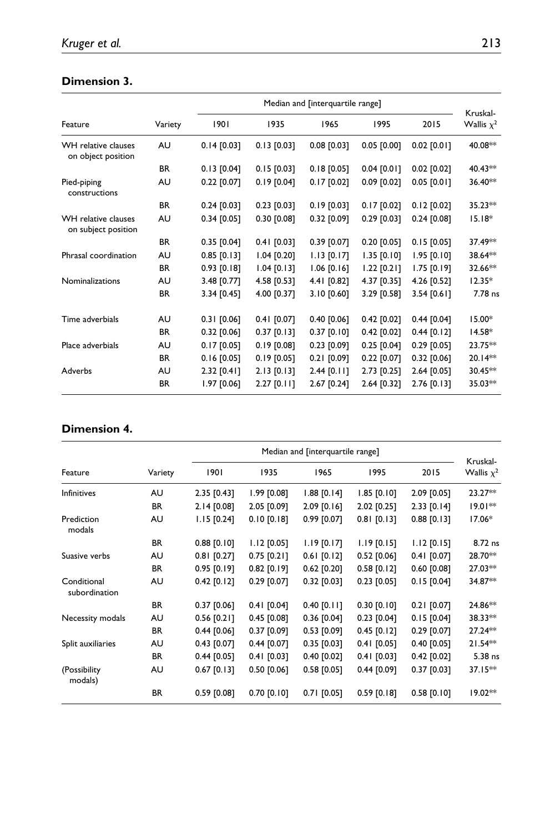### **Dimension 3.**

|                                            |           | Median and [interquartile range] |               |               |               |               |                             |  |
|--------------------------------------------|-----------|----------------------------------|---------------|---------------|---------------|---------------|-----------------------------|--|
| Feature                                    | Variety   | 1901                             | 1935          | 1965          | 1995          | 2015          | Kruskal-<br>Wallis $\chi^2$ |  |
| WH relative clauses<br>on object position  | AU        | $0.14$ [0.03]                    | $0.13$ [0.03] | $0.08$ [0.03] | $0.05$ [0.00] | $0.02$ [0.01] | 40.08**                     |  |
|                                            | <b>BR</b> | $0.13$ [0.04]                    | $0.15$ [0.03] | $0.18$ [0.05] | $0.04$ [0.01] | $0.02$ [0.02] | 40.43**                     |  |
| Pied-piping<br>constructions               | AU        | $0.22$ [0.07]                    | $0.19$ [0.04] | $0.17$ [0.02] | $0.09$ [0.02] | $0.05$ [0.01] | 36.40**                     |  |
|                                            | <b>BR</b> | $0.24$ [0.03]                    | $0.23$ [0.03] | $0.19$ [0.03] | $0.17$ [0.02] | $0.12$ [0.02] | 35.23**                     |  |
| WH relative clauses<br>on subject position | AU        | $0.34$ [0.05]                    | 0.30 [0.08]   | $0.32$ [0.09] | $0.29$ [0.03] | $0.24$ [0.08] | $15.18*$                    |  |
|                                            | <b>BR</b> | $0.35$ [0.04]                    | $0.41$ [0.03] | $0.39$ [0.07] | $0.20$ [0.05] | $0.15$ [0.05] | 37.49**                     |  |
| Phrasal coordination                       | AU        | $0.85$ [0.13]                    | $1.04$ [0.20] | $1.13$ [0.17] | $1.35$ [0.10] | $1.95$ [0.10] | 38.64**                     |  |
|                                            | BR        | $0.93$ [0.18]                    | $1.04$ [0.13] | $1.06$ [0.16] | $1.22$ [0.21] | $1.75$ [0.19] | 32.66**                     |  |
| Nominalizations                            | AU        | 3.48 [0.77]                      | 4.58 [0.53]   | 4.41 [0.82]   | 4.37 [0.35]   | 4.26 [0.52]   | $12.35*$                    |  |
|                                            | <b>BR</b> | 3.34 [0.45]                      | 4.00 [0.37]   | 3.10 [0.60]   | 3.29 [0.58]   | 3.54 [0.61]   | 7.78 ns                     |  |
| Time adverbials                            | AU        | $0.31$ [0.06]                    | $0.41$ [0.07] | $0.40$ [0.06] | $0.42$ [0.02] | $0.44$ [0.04] | $15.00*$                    |  |
|                                            | <b>BR</b> | $0.32$ [0.06]                    | $0.37$ [0.13] | $0.37$ [0.10] | $0.42$ [0.02] | $0.44$ [0.12] | $14.58*$                    |  |
| Place adverbials                           | AU        | $0.17$ [0.05]                    | $0.19$ [0.08] | $0.23$ [0.09] | $0.25$ [0.04] | $0.29$ [0.05] | 23.75**                     |  |
|                                            | <b>BR</b> | $0.16$ [0.05]                    | $0.19$ [0.05] | $0.21$ [0.09] | $0.22$ [0.07] | $0.32$ [0.06] | $20.14**$                   |  |
| Adverbs                                    | AU        | 2.32 [0.41]                      | $2.13$ [0.13] | $2.44$ [0.11] | 2.73 [0.25]   | 2.64 [0.05]   | 30.45**                     |  |
|                                            | BR        | $1.97$ [0.06]                    | $2.27$ [0.11] | 2.67 [0.24]   | 2.64 [0.32]   | 2.76 [0.13]   | $35.03**$                   |  |

### **Dimension 4.**

|                              |           |               | Median and [interquartile range] |               |               |               |                             |  |
|------------------------------|-----------|---------------|----------------------------------|---------------|---------------|---------------|-----------------------------|--|
| Feature                      | Variety   | 1901          | 1935                             | 1965          | 1995          | 2015          | Kruskal-<br>Wallis $\chi^2$ |  |
| Infinitives                  | AU        | $2.35$ [0.43] | $1.99$ [0.08]                    | $1.88$ [0.14] | $1.85$ [0.10] | 2.09 [0.05]   | 23.27**                     |  |
|                              | <b>BR</b> | $2.14$ [0.08] | 2.05 [0.09]                      | $2.09$ [0.16] | $2.02$ [0.25] | $2.33$ [0.14] | $19.01**$                   |  |
| Prediction<br>modals         | AU        | $1.15$ [0.24] | $0.10$ $[0.18]$                  | $0.99$ [0.07] | $0.81$ [0.13] | $0.88$ [0.13] | 17.06*                      |  |
|                              | <b>BR</b> | $0.88$ [0.10] | $1.12$ [0.05]                    | $1.19$ [0.17] | $1.19$ [0.15] | $1.12$ [0.15] | 8.72 ns                     |  |
| Suasive verbs                | AU        | $0.81$ [0.27] | $0.75$ [0.21]                    | $0.61$ [0.12] | $0.52$ [0.06] | $0.41$ [0.07] | 28.70**                     |  |
|                              | <b>BR</b> | $0.95$ [0.19] | $0.82$ [0.19]                    | $0.62$ [0.20] | $0.58$ [0.12] | $0.60$ [0.08] | 27.03**                     |  |
| Conditional<br>subordination | AU        | $0.42$ [0.12] | $0.29$ [0.07]                    | $0.32$ [0.03] | $0.23$ [0.05] | $0.15$ [0.04] | 34.87**                     |  |
|                              | <b>BR</b> | $0.37$ [0.06] | $0.41$ [0.04]                    | $0.40$ [0.11] | $0.30$ [0.10] | $0.21$ [0.07] | 24.86**                     |  |
| Necessity modals             | AU        | $0.56$ [0.21] | $0.45$ [0.08]                    | $0.36$ [0.04] | $0.23$ [0.04] | $0.15$ [0.04] | 38.33**                     |  |
|                              | <b>BR</b> | $0.44$ [0.06] | 0.37 [0.09]                      | $0.53$ [0.09] | $0.45$ [0.12] | $0.29$ [0.07] | $27.24**$                   |  |
| Split auxiliaries            | AU        | $0.43$ [0.07] | $0.44$ [0.07]                    | $0.35$ [0.03] | $0.41$ [0.05] | $0.40$ [0.05] | $21.54**$                   |  |
|                              | <b>BR</b> | $0.44$ [0.05] | $0.41$ [0.03]                    | $0.40$ [0.02] | $0.41$ [0.03] | $0.42$ [0.02] | 5.38 ns                     |  |
| (Possibility<br>modals)      | AU        | $0.67$ [0.13] | $0.50$ [0.06]                    | $0.58$ [0.05] | $0.44$ [0.09] | $0.37$ [0.03] | $37.15**$                   |  |
|                              | BR        | $0.59$ [0.08] | $0.70$ [0.10]                    | $0.71$ [0.05] | $0.59$ [0.18] | $0.58$ [0.10] | $19.02**$                   |  |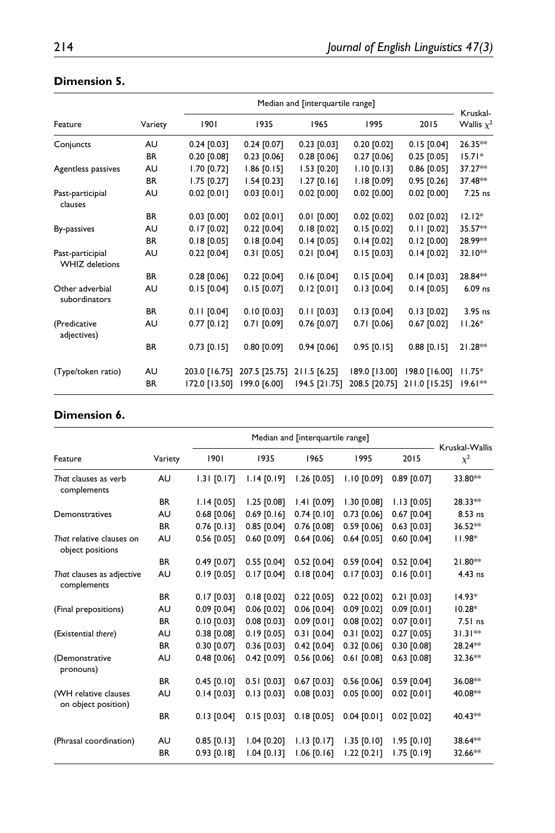|                                           |           | Median and [interquartile range] |               |               |               |               |                             |  |
|-------------------------------------------|-----------|----------------------------------|---------------|---------------|---------------|---------------|-----------------------------|--|
| Feature                                   | Variety   | 1901                             | 1935          | 1965          | 1995          | 2015          | Kruskal-<br>Wallis $\chi^2$ |  |
| Conjuncts                                 | AU        | $0.24$ [0.03]                    | $0.24$ [0.07] | $0.23$ [0.03] | $0.20$ [0.02] | $0.15$ [0.04] | 26.35**                     |  |
|                                           | <b>BR</b> | $0.20$ [0.08]                    | $0.23$ [0.06] | $0.28$ [0.06] | $0.27$ [0.06] | $0.25$ [0.05] | $15.71*$                    |  |
| Agentless passives                        | AU        | $1.70$ [0.72]                    | 1.86 [0.15]   | $1.53$ [0.20] | $1.10$ [0.13] | $0.86$ [0.05] | 37.27**                     |  |
|                                           | <b>BR</b> | $1.75$ [0.27]                    | 1.54 [0.23]   | $1.27$ [0.16] | $1.18$ [0.09] | $0.95$ [0.26] | 37.48**                     |  |
| Past-participial<br>clauses               | AU        | $0.02$ [0.01]                    | $0.03$ [0.01] | $0.02$ [0.00] | $0.02$ [0.00] | $0.02$ [0.00] | 7.25 ns                     |  |
|                                           | <b>BR</b> | $0.03$ [0.00]                    | $0.02$ [0.01] | $0.01$ [0.00] | $0.02$ [0.02] | $0.02$ [0.02] | $12.12*$                    |  |
| By-passives                               | AU        | $0.17$ [0.02]                    | $0.22$ [0.04] | $0.18$ [0.02] | $0.15$ [0.02] | $0.11$ [0.02] | 35.57**                     |  |
|                                           | BR        | $0.18$ [0.05]                    | $0.18$ [0.04] | $0.14$ [0.05] | $0.14$ [0.02] | $0.12$ [0.00] | 28.99**                     |  |
| Past-participial<br><b>WHIZ</b> deletions | AU        | $0.22$ [0.04]                    | $0.31$ [0.05] | $0.21$ [0.04] | $0.15$ [0.03] | $0.14$ [0.02] | $32.10**$                   |  |
|                                           | <b>BR</b> | $0.28$ [0.06]                    | $0.22$ [0.04] | $0.16$ [0.04] | $0.15$ [0.04] | $0.14$ [0.03] | 28.84**                     |  |
| Other adverbial<br>subordinators          | AU        | $0.15$ [0.04]                    | $0.15$ [0.07] | $0.12$ [0.01] | $0.13$ [0.04] | $0.14$ [0.05] | $6.09$ ns                   |  |
|                                           | <b>BR</b> | $0.11$ [0.04]                    | $0.10$ [0.03] | $0.11$ [0.03] | $0.13$ [0.04] | $0.13$ [0.02] | 3.95 ns                     |  |
| (Predicative<br>adjectives)               | AU        | $0.77$ [0.12]                    | $0.71$ [0.09] | $0.76$ [0.07] | $0.71$ [0.06] | $0.67$ [0.02] | $11.26*$                    |  |
|                                           | BR        | $0.73$ [0.15]                    | 0.80 [0.09]   | $0.94$ [0.06] | $0.95$ [0.15] | $0.88$ [0.15] | $21.28**$                   |  |
| (Type/token ratio)                        | AU        | 203.0 [16.75]                    | 207.5 [25.75] | 211.5 [6.25]  | 189.0 [13.00] | 198.0 [16.00] | $11.75*$                    |  |
|                                           | <b>BR</b> | 172.0 [13.50]                    | 199.0 [6.00]  | 194.5 [21.75] | 208.5 [20.75] | 211.0 [15.25] | $19.61**$                   |  |

### **Dimension 5.**

#### **Dimension 6.**

|                                              |           |                 |               | Median and [interquartile range] |               |               | Kruskal-Wallis |
|----------------------------------------------|-----------|-----------------|---------------|----------------------------------|---------------|---------------|----------------|
| Feature                                      | Variety   | 1901            | 1935          | 1965                             | 1995          | 2015          | $\chi^2$       |
| That clauses as verb<br>complements          | AU        | $1.31$ [0.17]   | $1.14$ [0.19] | 1.26 [0.05]                      | $1.10$ [0.09] | $0.89$ [0.07] | 33.80**        |
|                                              | <b>BR</b> | $1.14$ [0.05]   | $1.25$ [0.08] | $1.41$ [0.09]                    | 1.30 [0.08]   | $1.13$ [0.05] | 28.33**        |
| Demonstratives                               | AU        | $0.68$ [0.06]   | $0.69$ [0.16] | $0.74$ [0.10]                    | $0.73$ [0.06] | $0.67$ [0.04] | 8.53 ns        |
|                                              | <b>BR</b> | $0.76$ [0.13]   | $0.85$ [0.04] | $0.76$ [0.08]                    | $0.59$ [0.06] | $0.63$ [0.03] | 36.52**        |
| That relative clauses on<br>object positions | AU        | $0.56$ [0.05]   | $0.60$ [0.09] | $0.64$ [0.06]                    | $0.64$ [0.05] | 0.60 [0.04]   | $11.98*$       |
|                                              | <b>BR</b> | $0.49$ [0.07]   | $0.55$ [0.04] | $0.52$ [0.04]                    | $0.59$ [0.04] | $0.52$ [0.04] | $21.80**$      |
| That clauses as adjective<br>complements     | AU        | $0.19$ [0.05]   | $0.17$ [0.04] | $0.18$ [0.04]                    | $0.17$ [0.03] | $0.16$ [0.01] | $4.43$ ns      |
|                                              | <b>BR</b> | $0.17$ [0.03]   | $0.18$ [0.02] | $0.22$ [0.05]                    | $0.22$ [0.02] | $0.21$ [0.03] | $14.93*$       |
| (Final prepositions)                         | AU        | $0.09$ [0.04]   | $0.06$ [0.02] | $0.06$ [0.04]                    | $0.09$ [0.02] | $0.09$ [0.01] | $10.28*$       |
|                                              | <b>BR</b> | 0.10 [0.03]     | $0.08$ [0.03] | 0.09 [0.01]                      | $0.08$ [0.02] | $0.07$ [0.01] | 7.51ns         |
| (Existential there)                          | AU        | $0.38$ [0.08]   | $0.19$ [0.05] | $0.31$ [0.04]                    | $0.31$ [0.02] | $0.27$ [0.05] | $31.31**$      |
|                                              | <b>BR</b> | $0.30$ [0.07]   | $0.36$ [0.03] | 0.42 [0.04]                      | $0.32$ [0.06] | 0.30 [0.08]   | 28.24**        |
| (Demonstrative<br>pronouns)                  | AU        | $0.48$ [0.06]   | 0.42 [0.09]   | $0.56$ [0.06]                    | $0.61$ [0.08] | $0.63$ [0.08] | 32.36**        |
|                                              | <b>BR</b> | $0.45$ [0.10]   | $0.51$ [0.03] | $0.67$ [0.03]                    | $0.56$ [0.06] | 0.59 [0.04]   | $36.08**$      |
| (WH relative clauses<br>on object position)  | AU        | $0.14$ [0.03]   | $0.13$ [0.03] | $0.08$ [0.03]                    | $0.05$ [0.00] | $0.02$ [0.01] | 40.08**        |
|                                              | <b>BR</b> | $0.13$ [0.04]   | $0.15$ [0.03] | $0.18$ [0.05]                    | $0.04$ [0.01] | $0.02$ [0.02] | 40.43**        |
| (Phrasal coordination)                       | AU        | $0.85$ [0.13]   | $1.04$ [0.20] | $1.13$ [0.17]                    | $1.35$ [0.10] | $1.95$ [0.10] | 38.64**        |
|                                              | <b>BR</b> | $0.93$ $[0.18]$ | $1.04$ [0.13] | $1.06$ [0.16]                    | $1.22$ [0.21] | $1.75$ [0.19] | 32.66**        |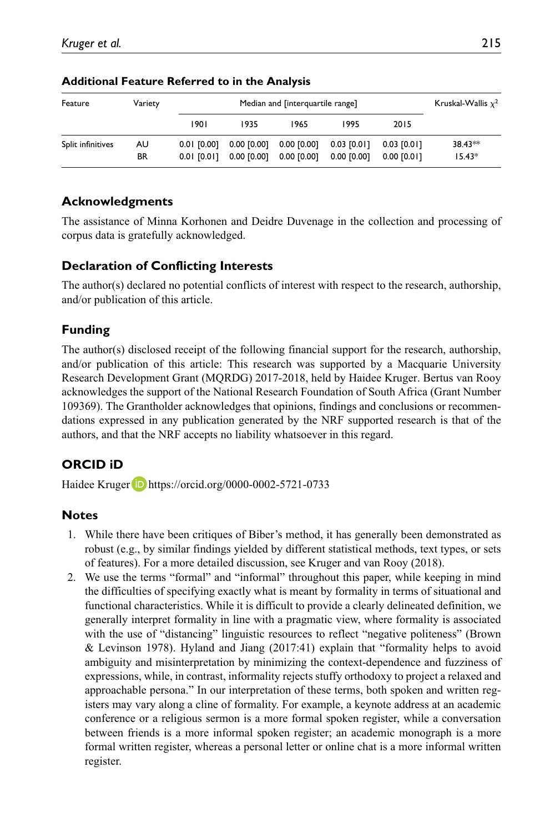| Feature           | Variety         |                            | Kruskal-Wallis $x^2$ |                                                              |                            |                            |                     |
|-------------------|-----------------|----------------------------|----------------------|--------------------------------------------------------------|----------------------------|----------------------------|---------------------|
|                   |                 | 1901                       | 1935                 | 1965                                                         | 1995                       | 2015                       |                     |
| Split infinitives | AU<br><b>BR</b> | 0.01 [0.00]<br>0.01 10.011 |                      | $0.00$ [0.00] 0.00 [0.00]<br>$0.00$ $[0.00]$ $0.00$ $[0.00]$ | 0.03 10.011<br>0.00 [0.00] | 0.03 [0.01]<br>0.00 [0.01] | 38.43**<br>$15.43*$ |

#### **Additional Feature Referred to in the Analysis**

### **Acknowledgments**

The assistance of Minna Korhonen and Deidre Duvenage in the collection and processing of corpus data is gratefully acknowledged.

### **Declaration of Conflicting Interests**

The author(s) declared no potential conflicts of interest with respect to the research, authorship, and/or publication of this article.

### **Funding**

The author(s) disclosed receipt of the following financial support for the research, authorship, and/or publication of this article: This research was supported by a Macquarie University Research Development Grant (MQRDG) 2017-2018, held by Haidee Kruger. Bertus van Rooy acknowledges the support of the National Research Foundation of South Africa (Grant Number 109369). The Grantholder acknowledges that opinions, findings and conclusions or recommendations expressed in any publication generated by the NRF supported research is that of the authors, and that the NRF accepts no liability whatsoever in this regard.

# **ORCID iD**

Haidee Kruger D <https://orcid.org/0000-0002-5721-0733>

### **Notes**

- 1. While there have been critiques of Biber's method, it has generally been demonstrated as robust (e.g., by similar findings yielded by different statistical methods, text types, or sets of features). For a more detailed discussion, see Kruger and van Rooy (2018).
- 2. We use the terms "formal" and "informal" throughout this paper, while keeping in mind the difficulties of specifying exactly what is meant by formality in terms of situational and functional characteristics. While it is difficult to provide a clearly delineated definition, we generally interpret formality in line with a pragmatic view, where formality is associated with the use of "distancing" linguistic resources to reflect "negative politeness" (Brown & Levinson 1978). Hyland and Jiang (2017:41) explain that "formality helps to avoid ambiguity and misinterpretation by minimizing the context-dependence and fuzziness of expressions, while, in contrast, informality rejects stuffy orthodoxy to project a relaxed and approachable persona." In our interpretation of these terms, both spoken and written registers may vary along a cline of formality. For example, a keynote address at an academic conference or a religious sermon is a more formal spoken register, while a conversation between friends is a more informal spoken register; an academic monograph is a more formal written register, whereas a personal letter or online chat is a more informal written register.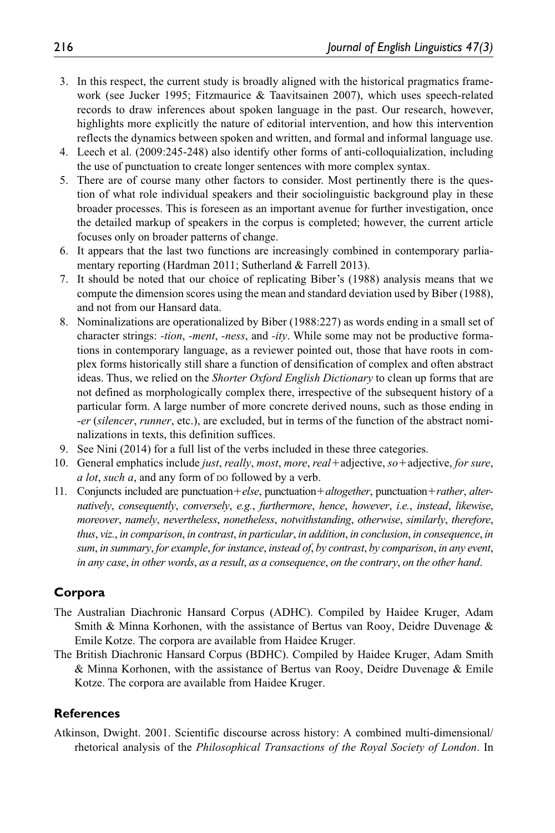- 3. In this respect, the current study is broadly aligned with the historical pragmatics framework (see Jucker 1995; Fitzmaurice & Taavitsainen 2007), which uses speech-related records to draw inferences about spoken language in the past. Our research, however, highlights more explicitly the nature of editorial intervention, and how this intervention reflects the dynamics between spoken and written, and formal and informal language use.
- 4. Leech et al. (2009:245-248) also identify other forms of anti-colloquialization, including the use of punctuation to create longer sentences with more complex syntax.
- 5. There are of course many other factors to consider. Most pertinently there is the question of what role individual speakers and their sociolinguistic background play in these broader processes. This is foreseen as an important avenue for further investigation, once the detailed markup of speakers in the corpus is completed; however, the current article focuses only on broader patterns of change.
- 6. It appears that the last two functions are increasingly combined in contemporary parliamentary reporting (Hardman 2011; Sutherland & Farrell 2013).
- 7. It should be noted that our choice of replicating Biber's (1988) analysis means that we compute the dimension scores using the mean and standard deviation used by Biber (1988), and not from our Hansard data.
- 8. Nominalizations are operationalized by Biber (1988:227) as words ending in a small set of character strings: *-tion*, *-ment*, *-ness*, and *-ity*. While some may not be productive formations in contemporary language, as a reviewer pointed out, those that have roots in complex forms historically still share a function of densification of complex and often abstract ideas. Thus, we relied on the *Shorter Oxford English Dictionary* to clean up forms that are not defined as morphologically complex there, irrespective of the subsequent history of a particular form. A large number of more concrete derived nouns, such as those ending in -*er* (*silencer*, *runner*, etc.), are excluded, but in terms of the function of the abstract nominalizations in texts, this definition suffices.
- 9. See Nini (2014) for a full list of the verbs included in these three categories.
- 10. General emphatics include *just*, *really*, *most*, *more*, *real*+adjective, *so*+adjective, *for sure*, *a lot*, *such a*, and any form of DO followed by a verb.
- 11. Conjuncts included are punctuation+*else*, punctuation+*altogether*, punctuation+*rather*, *alternatively*, *consequently*, *conversely*, *e.g.*, *furthermore*, *hence*, *however*, *i.e.*, *instead*, *likewise*, *moreover*, *namely*, *nevertheless*, *nonetheless*, *notwithstanding*, *otherwise*, *similarly*, *therefore*, *thus*, *viz.*, *in comparison*, *in contrast*, *in particular*, *in addition*, *in conclusion*, *in consequence*, *in sum*, *in summary*, *for example*, *for instance*, *instead of*, *by contrast*, *by comparison*, *in any event*, *in any case*, *in other words*, *as a result*, *as a consequence*, *on the contrary*, *on the other hand*.

### **Corpora**

- The Australian Diachronic Hansard Corpus (ADHC). Compiled by Haidee Kruger, Adam Smith & Minna Korhonen, with the assistance of Bertus van Rooy, Deidre Duvenage  $\&$ Emile Kotze. The corpora are available from Haidee Kruger.
- The British Diachronic Hansard Corpus (BDHC). Compiled by Haidee Kruger, Adam Smith & Minna Korhonen, with the assistance of Bertus van Rooy, Deidre Duvenage & Emile Kotze. The corpora are available from Haidee Kruger.

### **References**

Atkinson, Dwight. 2001. Scientific discourse across history: A combined multi-dimensional/ rhetorical analysis of the *Philosophical Transactions of the Royal Society of London*. In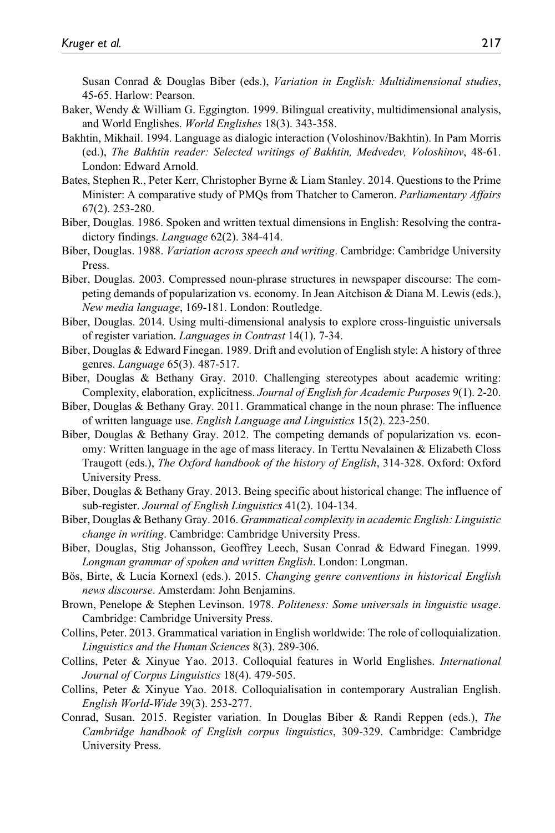Susan Conrad & Douglas Biber (eds.), *Variation in English: Multidimensional studies*, 45-65. Harlow: Pearson.

- Baker, Wendy & William G. Eggington. 1999. Bilingual creativity, multidimensional analysis, and World Englishes. *World Englishes* 18(3). 343-358.
- Bakhtin, Mikhail. 1994. Language as dialogic interaction (Voloshinov/Bakhtin). In Pam Morris (ed.), *The Bakhtin reader: Selected writings of Bakhtin, Medvedev, Voloshinov*, 48-61. London: Edward Arnold.
- Bates, Stephen R., Peter Kerr, Christopher Byrne & Liam Stanley. 2014. Questions to the Prime Minister: A comparative study of PMQs from Thatcher to Cameron. *Parliamentary Affairs* 67(2). 253-280.
- Biber, Douglas. 1986. Spoken and written textual dimensions in English: Resolving the contradictory findings. *Language* 62(2). 384-414.
- Biber, Douglas. 1988. *Variation across speech and writing*. Cambridge: Cambridge University Press.
- Biber, Douglas. 2003. Compressed noun-phrase structures in newspaper discourse: The competing demands of popularization vs. economy. In Jean Aitchison & Diana M. Lewis (eds.), *New media language*, 169-181. London: Routledge.
- Biber, Douglas. 2014. Using multi-dimensional analysis to explore cross-linguistic universals of register variation. *Languages in Contrast* 14(1). 7-34.
- Biber, Douglas & Edward Finegan. 1989. Drift and evolution of English style: A history of three genres. *Language* 65(3). 487-517.
- Biber, Douglas & Bethany Gray. 2010. Challenging stereotypes about academic writing: Complexity, elaboration, explicitness. *Journal of English for Academic Purposes* 9(1). 2-20.
- Biber, Douglas & Bethany Gray. 2011. Grammatical change in the noun phrase: The influence of written language use. *English Language and Linguistics* 15(2). 223-250.
- Biber, Douglas & Bethany Gray. 2012. The competing demands of popularization vs. economy: Written language in the age of mass literacy. In Terttu Nevalainen & Elizabeth Closs Traugott (eds.), *The Oxford handbook of the history of English*, 314-328. Oxford: Oxford University Press.
- Biber, Douglas & Bethany Gray. 2013. Being specific about historical change: The influence of sub-register. *Journal of English Linguistics* 41(2). 104-134.
- Biber, Douglas & Bethany Gray. 2016. *Grammatical complexity in academic English: Linguistic change in writing*. Cambridge: Cambridge University Press.
- Biber, Douglas, Stig Johansson, Geoffrey Leech, Susan Conrad & Edward Finegan. 1999. *Longman grammar of spoken and written English*. London: Longman.
- Bös, Birte, & Lucia Kornexl (eds.). 2015. *Changing genre conventions in historical English news discourse*. Amsterdam: John Benjamins.
- Brown, Penelope & Stephen Levinson. 1978. *Politeness: Some universals in linguistic usage*. Cambridge: Cambridge University Press.
- Collins, Peter. 2013. Grammatical variation in English worldwide: The role of colloquialization. *Linguistics and the Human Sciences* 8(3). 289-306.
- Collins, Peter & Xinyue Yao. 2013. Colloquial features in World Englishes. *International Journal of Corpus Linguistics* 18(4). 479-505.
- Collins, Peter & Xinyue Yao. 2018. Colloquialisation in contemporary Australian English. *English World-Wide* 39(3). 253-277.
- Conrad, Susan. 2015. Register variation. In Douglas Biber & Randi Reppen (eds.), *The Cambridge handbook of English corpus linguistics*, 309-329. Cambridge: Cambridge University Press.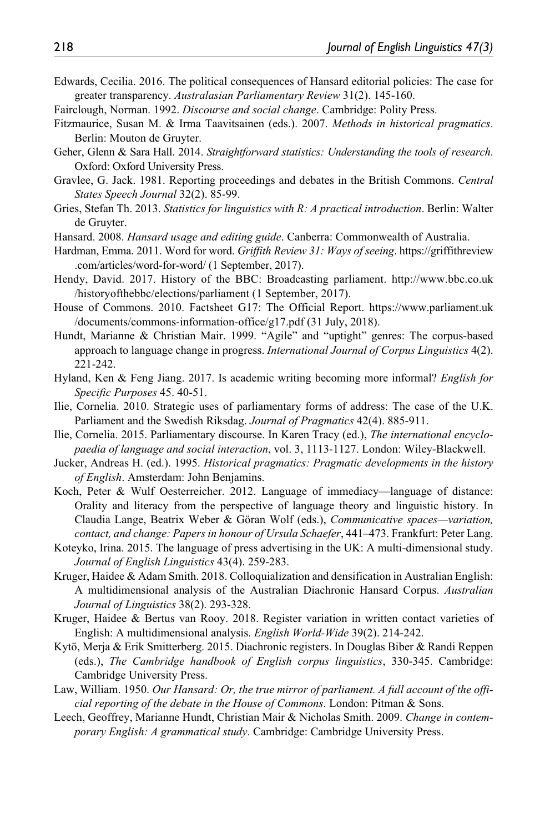- Edwards, Cecilia. 2016. The political consequences of Hansard editorial policies: The case for greater transparency. *Australasian Parliamentary Review* 31(2). 145-160.
- Fairclough, Norman. 1992. *Discourse and social change*. Cambridge: Polity Press.
- Fitzmaurice, Susan M. & Irma Taavitsainen (eds.). 2007. *Methods in historical pragmatics*. Berlin: Mouton de Gruyter.
- Geher, Glenn & Sara Hall. 2014. *Straightforward statistics: Understanding the tools of research*. Oxford: Oxford University Press.
- Gravlee, G. Jack. 1981. Reporting proceedings and debates in the British Commons. *Central States Speech Journal* 32(2). 85-99.
- Gries, Stefan Th. 2013. *Statistics for linguistics with R: A practical introduction*. Berlin: Walter de Gruyter.
- Hansard. 2008. *Hansard usage and editing guide*. Canberra: Commonwealth of Australia.
- Hardman, Emma. 2011. Word for word. *Griffith Review 31: Ways of seeing*. https://griffithreview [.com/articles/word-for-word/ \(1 September, 2017\).](https://griffithreview.com/articles/word-for-word/)
- Hen[dy, David. 2017. History of the BBC: Broadcasting parliament. http://www.bbc.co.uk](http://www.bbc.co.uk/historyofthebbc/elections/parliament) /historyofthebbc/elections/parliament (1 September, 2017).
- Hou[se of Commons. 2010. Factsheet G17: The Official Report. h](https://www.parliament.uk/documents/commons-information-office/g17.pdf)[ttps://www.parliament.uk](https://www.parliament.uk) /documents/commons-information-office/g17.pdf (31 July, 2018).
- Hundt, Marianne & Christian Mair. 1999. "Agile" and "uptight" genres: The corpus-based approach to language change in progress. *International Journal of Corpus Linguistics* 4(2). 221-242.
- Hyland, Ken & Feng Jiang. 2017. Is academic writing becoming more informal? *English for Specific Purposes* 45. 40-51.
- Ilie, Cornelia. 2010. Strategic uses of parliamentary forms of address: The case of the U.K. Parliament and the Swedish Riksdag. *Journal of Pragmatics* 42(4). 885-911.
- Ilie, Cornelia. 2015. Parliamentary discourse. In Karen Tracy (ed.), *The international encyclopaedia of language and social interaction*, vol. 3, 1113-1127. London: Wiley-Blackwell.
- Jucker, Andreas H. (ed.). 1995. *Historical pragmatics: Pragmatic developments in the history of English*. Amsterdam: John Benjamins.
- Koch, Peter & Wulf Oesterreicher. 2012. Language of immediacy—language of distance: Orality and literacy from the perspective of language theory and linguistic history. In Claudia Lange, Beatrix Weber & Göran Wolf (eds.), *Communicative spaces—variation, contact, and change: Papers in honour of Ursula Schaefer*, 441–473. Frankfurt: Peter Lang.
- Koteyko, Irina. 2015. The language of press advertising in the UK: A multi-dimensional study. *Journal of English Linguistics* 43(4). 259-283.
- Kruger, Haidee & Adam Smith. 2018. Colloquialization and densification in Australian English: A multidimensional analysis of the Australian Diachronic Hansard Corpus. *Australian Journal of Linguistics* 38(2). 293-328.
- Kruger, Haidee & Bertus van Rooy. 2018. Register variation in written contact varieties of English: A multidimensional analysis. *English World-Wide* 39(2). 214-242.
- Kytö, Merja & Erik Smitterberg. 2015. Diachronic registers. In Douglas Biber & Randi Reppen (eds.), *The Cambridge handbook of English corpus linguistics*, 330-345. Cambridge: Cambridge University Press.
- Law, William. 1950. *Our Hansard: Or, the true mirror of parliament. A full account of the official reporting of the debate in the House of Commons*. London: Pitman & Sons.
- Leech, Geoffrey, Marianne Hundt, Christian Mair & Nicholas Smith. 2009. *Change in contemporary English: A grammatical study*. Cambridge: Cambridge University Press.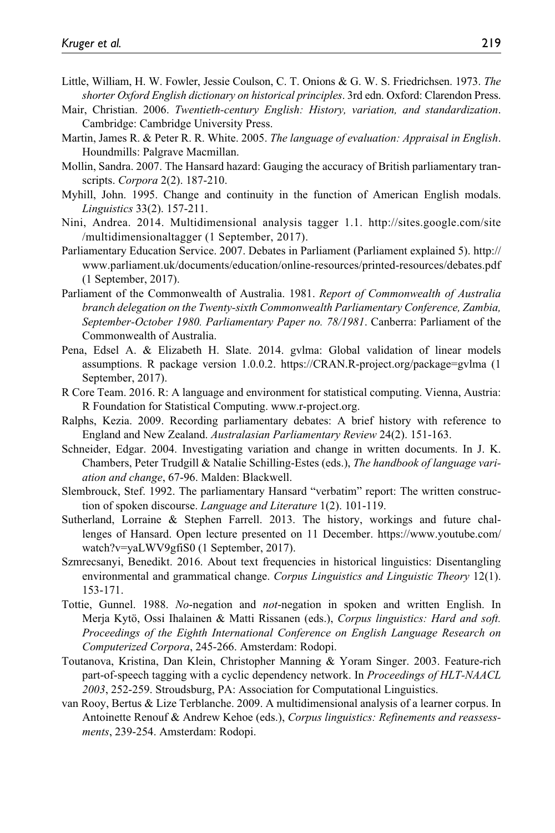- Little, William, H. W. Fowler, Jessie Coulson, C. T. Onions & G. W. S. Friedrichsen. 1973. *The shorter Oxford English dictionary on historical principles*. 3rd edn. Oxford: Clarendon Press.
- Mair, Christian. 2006. *Twentieth-century English: History, variation, and standardization*. Cambridge: Cambridge University Press.
- Martin, James R. & Peter R. R. White. 2005. *The language of evaluation: Appraisal in English*. Houndmills: Palgrave Macmillan.
- Mollin, Sandra. 2007. The Hansard hazard: Gauging the accuracy of British parliamentary transcripts. *Corpora* 2(2). 187-210.
- Myhill, John. 1995. Change and continuity in the function of American English modals. *Linguistics* 33(2). 157-211.
- Nin[i, Andrea. 2014. Multidimensional analysis tagger 1.1. http://sites.google.com/site](http://sites.google.com/site/multidimensionaltagger) /multidimensionaltagger (1 September, 2017).
- Parliamentary Education Service. 2007. Debates in Parliament (Parliament explained 5). http:// www.parliament.uk/documents/education/online-resources/printed-resources/debates.pdf (1 September, 2017).
- Parliament of the Commonwealth of Australia. 1981. *Report of Commonwealth of Australia branch delegation on the Twenty-sixth Commonwealth Parliamentary Conference, Zambia, September-October 1980. Parliamentary Paper no. 78/1981*. Canberra: Parliament of the Commonwealth of Australia.
- Pena, Edsel A. & Elizabeth H. Slate. 2014. gvlma: Global validation of linear models assumptions. R package version 1.0.0.2. https://CRAN.R-project.org/package=gvlma (1 September, 2017).
- R Core Team. 2016. R: A language and environment for statistical computing. Vienna, Austria: R Foundation for Statistical Computing. [www.r-project.org.](http://www.r-project.org)
- Ralphs, Kezia. 2009. Recording parliamentary debates: A brief history with reference to England and New Zealand. *Australasian Parliamentary Review* 24(2). 151-163.
- Schneider, Edgar. 2004. Investigating variation and change in written documents. In J. K. Chambers, Peter Trudgill & Natalie Schilling-Estes (eds.), *The handbook of language variation and change*, 67-96. Malden: Blackwell.
- Slembrouck, Stef. 1992. The parliamentary Hansard "verbatim" report: The written construction of spoken discourse. *Language and Literature* 1(2). 101-119.
- Sutherland, Lorraine & Stephen Farrell. 2013. The history, workings and future challenges of Hansard. Open lecture presented on 11 December. [https://www.youtube.com/](https://www.youtube.com/watch?v=yaLWV9gfiS0) [watch?v=yaLWV9gfiS0](https://www.youtube.com/watch?v=yaLWV9gfiS0) (1 September, 2017).
- Szmrecsanyi, Benedikt. 2016. About text frequencies in historical linguistics: Disentangling environmental and grammatical change. *Corpus Linguistics and Linguistic Theory* 12(1). 153-171.
- Tottie, Gunnel. 1988. *No*-negation and *not*-negation in spoken and written English. In Merja Kytö, Ossi Ihalainen & Matti Rissanen (eds.), *Corpus linguistics: Hard and soft. Proceedings of the Eighth International Conference on English Language Research on Computerized Corpora*, 245-266. Amsterdam: Rodopi.
- Toutanova, Kristina, Dan Klein, Christopher Manning & Yoram Singer. 2003. Feature-rich part-of-speech tagging with a cyclic dependency network. In *Proceedings of HLT-NAACL 2003*, 252-259. Stroudsburg, PA: Association for Computational Linguistics.
- van Rooy, Bertus & Lize Terblanche. 2009. A multidimensional analysis of a learner corpus. In Antoinette Renouf & Andrew Kehoe (eds.), *Corpus linguistics: Refinements and reassessments*, 239-254. Amsterdam: Rodopi.